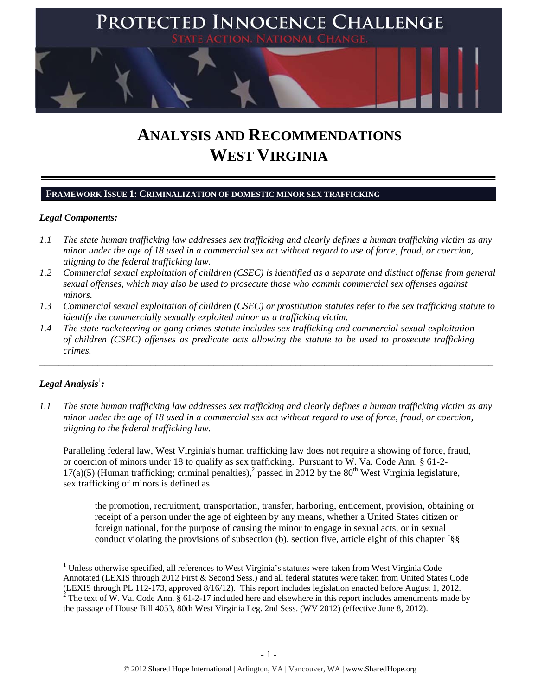

# **ANALYSIS AND RECOMMENDATIONS WEST VIRGINIA**

## **FRAMEWORK ISSUE 1: CRIMINALIZATION OF DOMESTIC MINOR SEX TRAFFICKING**

## *Legal Components:*

- *1.1 The state human trafficking law addresses sex trafficking and clearly defines a human trafficking victim as any minor under the age of 18 used in a commercial sex act without regard to use of force, fraud, or coercion, aligning to the federal trafficking law.*
- *1.2 Commercial sexual exploitation of children (CSEC) is identified as a separate and distinct offense from general sexual offenses, which may also be used to prosecute those who commit commercial sex offenses against minors.*
- *1.3 Commercial sexual exploitation of children (CSEC) or prostitution statutes refer to the sex trafficking statute to identify the commercially sexually exploited minor as a trafficking victim.*

\_\_\_\_\_\_\_\_\_\_\_\_\_\_\_\_\_\_\_\_\_\_\_\_\_\_\_\_\_\_\_\_\_\_\_\_\_\_\_\_\_\_\_\_\_\_\_\_\_\_\_\_\_\_\_\_\_\_\_\_\_\_\_\_\_\_\_\_\_\_\_\_\_\_\_\_\_\_\_\_\_\_\_\_\_\_\_\_\_\_\_\_\_\_

*1.4 The state racketeering or gang crimes statute includes sex trafficking and commercial sexual exploitation of children (CSEC) offenses as predicate acts allowing the statute to be used to prosecute trafficking crimes.* 

# $\bm{\mathit{Legal\, Analysis^{\text{!}}:}}$

*1.1 The state human trafficking law addresses sex trafficking and clearly defines a human trafficking victim as any minor under the age of 18 used in a commercial sex act without regard to use of force, fraud, or coercion, aligning to the federal trafficking law.*

Paralleling federal law, West Virginia's human trafficking law does not require a showing of force, fraud, or coercion of minors under 18 to qualify as sex trafficking. Pursuant to W. Va. Code Ann. § 61-2-  $17(a)(5)$  (Human trafficking; criminal penalties),<sup>2</sup> passed in 2012 by the 80<sup>th</sup> West Virginia legislature, sex trafficking of minors is defined as

the promotion, recruitment, transportation, transfer, harboring, enticement, provision, obtaining or receipt of a person under the age of eighteen by any means, whether a United States citizen or foreign national, for the purpose of causing the minor to engage in sexual acts, or in sexual conduct violating the provisions of subsection (b), section five, article eight of this chapter [§§

 <sup>1</sup> Unless otherwise specified, all references to West Virginia's statutes were taken from West Virginia Code Annotated (LEXIS through 2012 First & Second Sess.) and all federal statutes were taken from United States Code (LEXIS through PL 112-173, approved  $8/16/12$ ). This report includes legislation enacted before August 1, 2012.<br><sup>2</sup> The text of W. Va. Code Ann. § 61-2-17 included here and elsewhere in this report includes amendments mad the passage of House Bill 4053, 80th West Virginia Leg. 2nd Sess. (WV 2012) (effective June 8, 2012).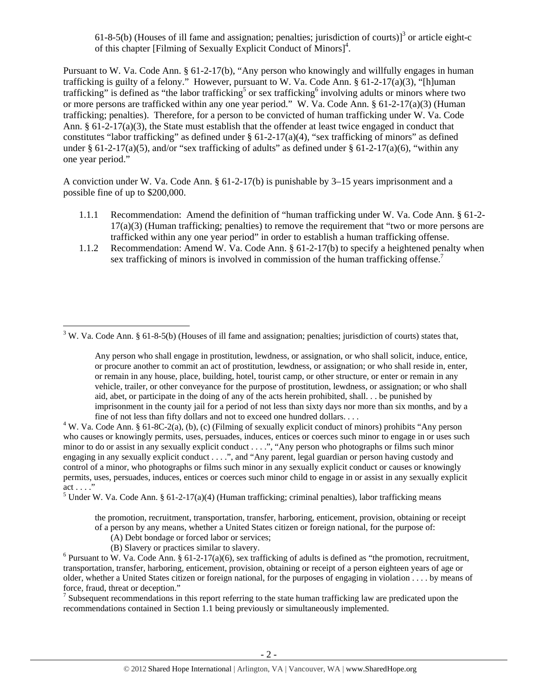61-8-5(b) (Houses of ill fame and assignation; penalties; jurisdiction of courts)<sup>3</sup> or article eight-c of this chapter [Filming of Sexually Explicit Conduct of Minors]<sup>4</sup>.

Pursuant to W. Va. Code Ann. § 61-2-17(b), "Any person who knowingly and willfully engages in human trafficking is guilty of a felony." However, pursuant to W. Va. Code Ann.  $\S 61-2-17(a)(3)$ , "[h]uman trafficking" is defined as "the labor trafficking<sup>5</sup> or sex trafficking<sup>6</sup> involving adults or minors where two or more persons are trafficked within any one year period." W. Va. Code Ann. § 61-2-17(a)(3) (Human trafficking; penalties). Therefore, for a person to be convicted of human trafficking under W. Va. Code Ann. § 61-2-17(a)(3), the State must establish that the offender at least twice engaged in conduct that constitutes "labor trafficking" as defined under  $\S 61-2-17(a)(4)$ , "sex trafficking of minors" as defined under § 61-2-17(a)(5), and/or "sex trafficking of adults" as defined under § 61-2-17(a)(6), "within any one year period."

A conviction under W. Va. Code Ann. § 61-2-17(b) is punishable by 3–15 years imprisonment and a possible fine of up to \$200,000.

- 1.1.1 Recommendation: Amend the definition of "human trafficking under W. Va. Code Ann. § 61-2-  $17(a)(3)$  (Human trafficking; penalties) to remove the requirement that "two or more persons are trafficked within any one year period" in order to establish a human trafficking offense.
- 1.1.2 Recommendation: Amend W. Va. Code Ann. § 61-2-17(b) to specify a heightened penalty when sex trafficking of minors is involved in commission of the human trafficking offense.<sup>7</sup>

<sup>5</sup> Under W. Va. Code Ann. § 61-2-17(a)(4) (Human trafficking; criminal penalties), labor trafficking means

the promotion, recruitment, transportation, transfer, harboring, enticement, provision, obtaining or receipt of a person by any means, whether a United States citizen or foreign national, for the purpose of:

- (A) Debt bondage or forced labor or services;
- (B) Slavery or practices similar to slavery. 6

<sup>6</sup> Pursuant to W. Va. Code Ann. § 61-2-17(a)(6), sex trafficking of adults is defined as "the promotion, recruitment, transportation, transfer, harboring, enticement, provision, obtaining or receipt of a person eighteen years of age or older, whether a United States citizen or foreign national, for the purposes of engaging in violation . . . . by means of force, fraud, threat or deception."<br><sup>7</sup> Subsequent recommendations in this report referring to the state human trafficking law are predicated upon the

recommendations contained in Section 1.1 being previously or simultaneously implemented.

 $3$  W. Va. Code Ann. § 61-8-5(b) (Houses of ill fame and assignation; penalties; jurisdiction of courts) states that,

Any person who shall engage in prostitution, lewdness, or assignation, or who shall solicit, induce, entice, or procure another to commit an act of prostitution, lewdness, or assignation; or who shall reside in, enter, or remain in any house, place, building, hotel, tourist camp, or other structure, or enter or remain in any vehicle, trailer, or other conveyance for the purpose of prostitution, lewdness, or assignation; or who shall aid, abet, or participate in the doing of any of the acts herein prohibited, shall. . . be punished by imprisonment in the county jail for a period of not less than sixty days nor more than six months, and by a fine of not less than fifty dollars and not to exceed one hundred dollars. . . .

W. Va. Code Ann. § 61-8C-2(a), (b), (c) (Filming of sexually explicit conduct of minors) prohibits "Any person who causes or knowingly permits, uses, persuades, induces, entices or coerces such minor to engage in or uses such minor to do or assist in any sexually explicit conduct . . . .", "Any person who photographs or films such minor engaging in any sexually explicit conduct . . . .", and "Any parent, legal guardian or person having custody and control of a minor, who photographs or films such minor in any sexually explicit conduct or causes or knowingly permits, uses, persuades, induces, entices or coerces such minor child to engage in or assist in any sexually explicit act . . . ."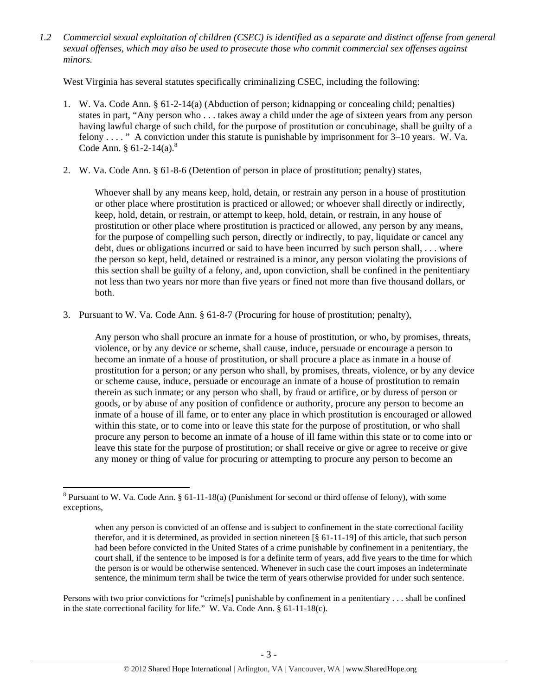*1.2 Commercial sexual exploitation of children (CSEC) is identified as a separate and distinct offense from general sexual offenses, which may also be used to prosecute those who commit commercial sex offenses against minors.*

West Virginia has several statutes specifically criminalizing CSEC, including the following:

- 1. W. Va. Code Ann. § 61-2-14(a) (Abduction of person; kidnapping or concealing child; penalties) states in part, "Any person who . . . takes away a child under the age of sixteen years from any person having lawful charge of such child, for the purpose of prostitution or concubinage, shall be guilty of a felony . . . . " A conviction under this statute is punishable by imprisonment for 3–10 years. W. Va. Code Ann. §  $61-2-14(a)$ .<sup>8</sup>
- 2. W. Va. Code Ann. § 61-8-6 (Detention of person in place of prostitution; penalty) states,

Whoever shall by any means keep, hold, detain, or restrain any person in a house of prostitution or other place where prostitution is practiced or allowed; or whoever shall directly or indirectly, keep, hold, detain, or restrain, or attempt to keep, hold, detain, or restrain, in any house of prostitution or other place where prostitution is practiced or allowed, any person by any means, for the purpose of compelling such person, directly or indirectly, to pay, liquidate or cancel any debt, dues or obligations incurred or said to have been incurred by such person shall, . . . where the person so kept, held, detained or restrained is a minor, any person violating the provisions of this section shall be guilty of a felony, and, upon conviction, shall be confined in the penitentiary not less than two years nor more than five years or fined not more than five thousand dollars, or both.

3. Pursuant to W. Va. Code Ann. § 61-8-7 (Procuring for house of prostitution; penalty),

Any person who shall procure an inmate for a house of prostitution, or who, by promises, threats, violence, or by any device or scheme, shall cause, induce, persuade or encourage a person to become an inmate of a house of prostitution, or shall procure a place as inmate in a house of prostitution for a person; or any person who shall, by promises, threats, violence, or by any device or scheme cause, induce, persuade or encourage an inmate of a house of prostitution to remain therein as such inmate; or any person who shall, by fraud or artifice, or by duress of person or goods, or by abuse of any position of confidence or authority, procure any person to become an inmate of a house of ill fame, or to enter any place in which prostitution is encouraged or allowed within this state, or to come into or leave this state for the purpose of prostitution, or who shall procure any person to become an inmate of a house of ill fame within this state or to come into or leave this state for the purpose of prostitution; or shall receive or give or agree to receive or give any money or thing of value for procuring or attempting to procure any person to become an

Persons with two prior convictions for "crime[s] punishable by confinement in a penitentiary . . . shall be confined in the state correctional facility for life." W. Va. Code Ann. § 61-11-18(c).

 <sup>8</sup> Pursuant to W. Va. Code Ann. § 61-11-18(a) (Punishment for second or third offense of felony), with some exceptions,

when any person is convicted of an offense and is subject to confinement in the state correctional facility therefor, and it is determined, as provided in section nineteen [§ 61-11-19] of this article, that such person had been before convicted in the United States of a crime punishable by confinement in a penitentiary, the court shall, if the sentence to be imposed is for a definite term of years, add five years to the time for which the person is or would be otherwise sentenced. Whenever in such case the court imposes an indeterminate sentence, the minimum term shall be twice the term of years otherwise provided for under such sentence.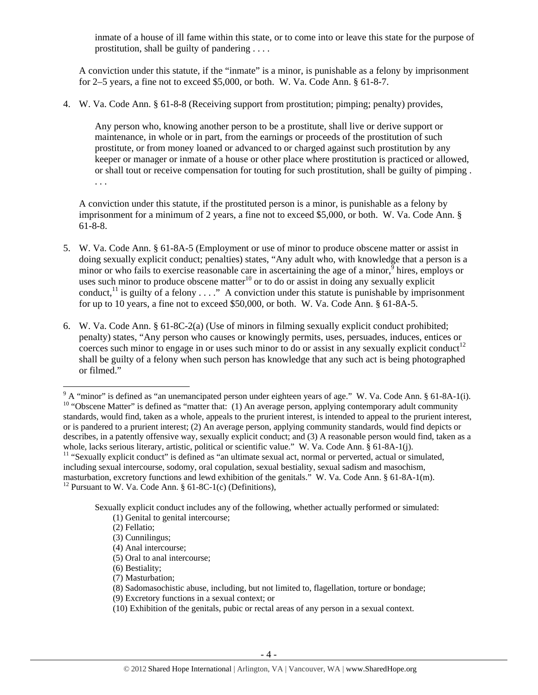inmate of a house of ill fame within this state, or to come into or leave this state for the purpose of prostitution, shall be guilty of pandering . . . .

A conviction under this statute, if the "inmate" is a minor, is punishable as a felony by imprisonment for 2–5 years, a fine not to exceed \$5,000, or both. W. Va. Code Ann. § 61-8-7.

4. W. Va. Code Ann. § 61-8-8 (Receiving support from prostitution; pimping; penalty) provides,

Any person who, knowing another person to be a prostitute, shall live or derive support or maintenance, in whole or in part, from the earnings or proceeds of the prostitution of such prostitute, or from money loaned or advanced to or charged against such prostitution by any keeper or manager or inmate of a house or other place where prostitution is practiced or allowed, or shall tout or receive compensation for touting for such prostitution, shall be guilty of pimping . . . .

A conviction under this statute, if the prostituted person is a minor, is punishable as a felony by imprisonment for a minimum of 2 years, a fine not to exceed \$5,000, or both. W. Va. Code Ann. § 61-8-8.

- 5. W. Va. Code Ann. § 61-8A-5 (Employment or use of minor to produce obscene matter or assist in doing sexually explicit conduct; penalties) states, "Any adult who, with knowledge that a person is a minor or who fails to exercise reasonable care in ascertaining the age of a minor,  $\frac{9}{9}$  hires, employs or uses such minor to produce obscene matter<sup>10</sup> or to do or assist in doing any sexually explicit conduct,<sup>11</sup> is guilty of a felony  $\dots$ ." A conviction under this statute is punishable by imprisonment for up to 10 years, a fine not to exceed \$50,000, or both. W. Va. Code Ann. § 61-8A-5.
- 6. W. Va. Code Ann. § 61-8C-2(a) (Use of minors in filming sexually explicit conduct prohibited; penalty) states, "Any person who causes or knowingly permits, uses, persuades, induces, entices or coerces such minor to engage in or uses such minor to do or assist in any sexually explicit conduct<sup>12</sup> shall be guilty of a felony when such person has knowledge that any such act is being photographed or filmed."

Sexually explicit conduct includes any of the following, whether actually performed or simulated:

(7) Masturbation;

<sup>&</sup>lt;sup>9</sup> A "minor" is defined as "an unemancipated person under eighteen years of age." W. Va. Code Ann. § 61-8A-1(i). <sup>10</sup> "Obscene Matter" is defined as "matter that: (1) An average person, applying contemporary adult community standards, would find, taken as a whole, appeals to the prurient interest, is intended to appeal to the prurient interest, or is pandered to a prurient interest; (2) An average person, applying community standards, would find depicts or describes, in a patently offensive way, sexually explicit conduct; and (3) A reasonable person would find, taken as a whole, lacks serious literary, artistic, political or scientific value." W. Va. Code Ann. § 61-8A-1(j).<br><sup>11</sup> "Sexually explicit conduct" is defined as "an ultimate sexual act, normal or perverted, actual or simulated,

including sexual intercourse, sodomy, oral copulation, sexual bestiality, sexual sadism and masochism, masturbation, excretory functions and lewd exhibition of the genitals." W. Va. Code Ann. § 61-8A-1(m). <sup>12</sup> Pursuant to W. Va. Code Ann. § 61-8C-1(c) (Definitions),

 <sup>(1)</sup> Genital to genital intercourse;

 <sup>(2)</sup> Fellatio;

 <sup>(3)</sup> Cunnilingus;

 <sup>(4)</sup> Anal intercourse;

 <sup>(5)</sup> Oral to anal intercourse;

 <sup>(6)</sup> Bestiality;

 <sup>(8)</sup> Sadomasochistic abuse, including, but not limited to, flagellation, torture or bondage;

 <sup>(9)</sup> Excretory functions in a sexual context; or

 <sup>(10)</sup> Exhibition of the genitals, pubic or rectal areas of any person in a sexual context.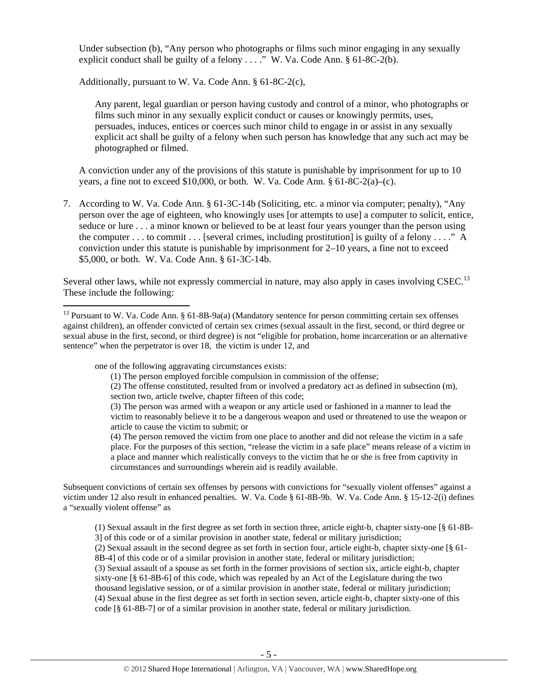Under subsection (b), "Any person who photographs or films such minor engaging in any sexually explicit conduct shall be guilty of a felony  $\dots$ ." W. Va. Code Ann. § 61-8C-2(b).

Additionally, pursuant to W. Va. Code Ann. § 61-8C-2(c),

Any parent, legal guardian or person having custody and control of a minor, who photographs or films such minor in any sexually explicit conduct or causes or knowingly permits, uses, persuades, induces, entices or coerces such minor child to engage in or assist in any sexually explicit act shall be guilty of a felony when such person has knowledge that any such act may be photographed or filmed.

A conviction under any of the provisions of this statute is punishable by imprisonment for up to 10 years, a fine not to exceed \$10,000, or both. W. Va. Code Ann.  $§ 61-8C-2(a)-(c)$ .

7. According to W. Va. Code Ann. § 61-3C-14b (Soliciting, etc. a minor via computer; penalty), "Any person over the age of eighteen, who knowingly uses [or attempts to use] a computer to solicit, entice, seduce or lure . . . a minor known or believed to be at least four years younger than the person using the computer  $\dots$  to commit  $\dots$  [several crimes, including prostitution] is guilty of a felony  $\dots$ ." A conviction under this statute is punishable by imprisonment for 2–10 years, a fine not to exceed \$5,000, or both. W. Va. Code Ann. § 61-3C-14b.

Several other laws, while not expressly commercial in nature, may also apply in cases involving CSEC.<sup>13</sup> These include the following:

one of the following aggravating circumstances exists:

Subsequent convictions of certain sex offenses by persons with convictions for "sexually violent offenses" against a victim under 12 also result in enhanced penalties. W. Va. Code § 61-8B-9b. W. Va. Code Ann. § 15-12-2(i) defines a "sexually violent offense" as

(1) Sexual assault in the first degree as set forth in section three, article eight-b, chapter sixty-one [§ 61-8B-3] of this code or of a similar provision in another state, federal or military jurisdiction; (2) Sexual assault in the second degree as set forth in section four, article eight-b, chapter sixty-one [§ 61- 8B-4] of this code or of a similar provision in another state, federal or military jurisdiction; (3) Sexual assault of a spouse as set forth in the former provisions of section six, article eight-b, chapter

sixty-one [§ 61-8B-6] of this code, which was repealed by an Act of the Legislature during the two thousand legislative session, or of a similar provision in another state, federal or military jurisdiction; (4) Sexual abuse in the first degree as set forth in section seven, article eight-b, chapter sixty-one of this code [§ 61-8B-7] or of a similar provision in another state, federal or military jurisdiction.

<sup>&</sup>lt;sup>13</sup> Pursuant to W. Va. Code Ann. § 61-8B-9a(a) (Mandatory sentence for person committing certain sex offenses against children), an offender convicted of certain sex crimes (sexual assault in the first, second, or third degree or sexual abuse in the first, second, or third degree) is not "eligible for probation, home incarceration or an alternative sentence" when the perpetrator is over 18, the victim is under 12, and

<sup>(1)</sup> The person employed forcible compulsion in commission of the offense;

<sup>(2)</sup> The offense constituted, resulted from or involved a predatory act as defined in subsection (m), section two, article twelve, chapter fifteen of this code;

<sup>(3)</sup> The person was armed with a weapon or any article used or fashioned in a manner to lead the victim to reasonably believe it to be a dangerous weapon and used or threatened to use the weapon or article to cause the victim to submit; or

<sup>(4)</sup> The person removed the victim from one place to another and did not release the victim in a safe place. For the purposes of this section, "release the victim in a safe place" means release of a victim in a place and manner which realistically conveys to the victim that he or she is free from captivity in circumstances and surroundings wherein aid is readily available.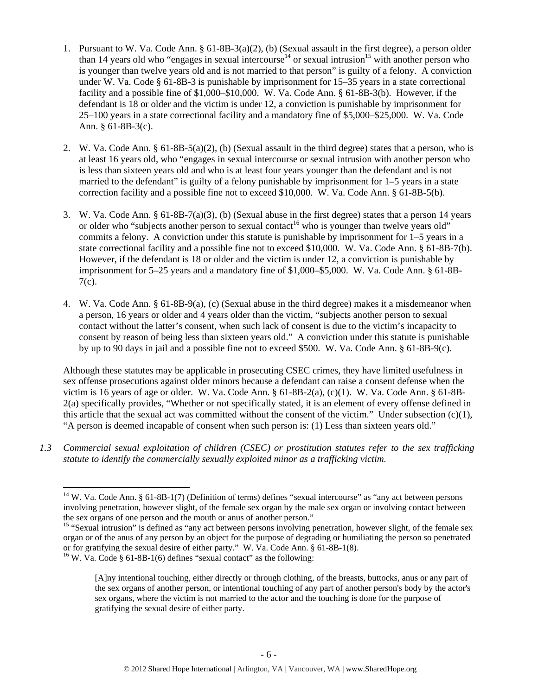- 1. Pursuant to W. Va. Code Ann. § 61-8B-3(a)(2), (b) (Sexual assault in the first degree), a person older than 14 years old who "engages in sexual intercourse<sup>14</sup> or sexual intrusion<sup>15</sup> with another person who is younger than twelve years old and is not married to that person" is guilty of a felony. A conviction under W. Va. Code § 61-8B-3 is punishable by imprisonment for 15–35 years in a state correctional facility and a possible fine of \$1,000–\$10,000. W. Va. Code Ann. § 61-8B-3(b). However, if the defendant is 18 or older and the victim is under 12, a conviction is punishable by imprisonment for 25–100 years in a state correctional facility and a mandatory fine of \$5,000–\$25,000. W. Va. Code Ann. § 61-8B-3(c).
- 2. W. Va. Code Ann. § 61-8B-5(a)(2), (b) (Sexual assault in the third degree) states that a person, who is at least 16 years old, who "engages in sexual intercourse or sexual intrusion with another person who is less than sixteen years old and who is at least four years younger than the defendant and is not married to the defendant" is guilty of a felony punishable by imprisonment for 1–5 years in a state correction facility and a possible fine not to exceed \$10,000. W. Va. Code Ann. § 61-8B-5(b).
- 3. W. Va. Code Ann. § 61-8B-7(a)(3), (b) (Sexual abuse in the first degree) states that a person 14 years or older who "subjects another person to sexual contact<sup>16</sup> who is younger than twelve years old" commits a felony. A conviction under this statute is punishable by imprisonment for 1–5 years in a state correctional facility and a possible fine not to exceed \$10,000. W. Va. Code Ann. § 61-8B-7(b). However, if the defendant is 18 or older and the victim is under 12, a conviction is punishable by imprisonment for 5–25 years and a mandatory fine of \$1,000–\$5,000. W. Va. Code Ann. § 61-8B-7(c).
- 4. W. Va. Code Ann. § 61-8B-9(a), (c) (Sexual abuse in the third degree) makes it a misdemeanor when a person, 16 years or older and 4 years older than the victim, "subjects another person to sexual contact without the latter's consent, when such lack of consent is due to the victim's incapacity to consent by reason of being less than sixteen years old." A conviction under this statute is punishable by up to 90 days in jail and a possible fine not to exceed \$500. W. Va. Code Ann. § 61-8B-9(c).

Although these statutes may be applicable in prosecuting CSEC crimes, they have limited usefulness in sex offense prosecutions against older minors because a defendant can raise a consent defense when the victim is 16 years of age or older. W. Va. Code Ann. § 61-8B-2(a), (c)(1). W. Va. Code Ann. § 61-8B-2(a) specifically provides, "Whether or not specifically stated, it is an element of every offense defined in this article that the sexual act was committed without the consent of the victim." Under subsection (c)(1), "A person is deemed incapable of consent when such person is: (1) Less than sixteen years old."

*1.3 Commercial sexual exploitation of children (CSEC) or prostitution statutes refer to the sex trafficking statute to identify the commercially sexually exploited minor as a trafficking victim.* 

gratifying the sexual desire of either party.

 $14$  W. Va. Code Ann. § 61-8B-1(7) (Definition of terms) defines "sexual intercourse" as "any act between persons involving penetration, however slight, of the female sex organ by the male sex organ or involving contact between the sex organs of one person and the mouth or anus of another person."

<sup>&</sup>lt;sup>15</sup> "Sexual intrusion" is defined as "any act between persons involving penetration, however slight, of the female sex organ or of the anus of any person by an object for the purpose of degrading or humiliating the person so penetrated or for gratifying the sexual desire of either party." W. Va. Code Ann. § 61-8B-1(8). <sup>16</sup> W. Va. Code § 61-8B-1(6) defines "sexual contact" as the following:

<sup>[</sup>A]ny intentional touching, either directly or through clothing, of the breasts, buttocks, anus or any part of the sex organs of another person, or intentional touching of any part of another person's body by the actor's sex organs, where the victim is not married to the actor and the touching is done for the purpose of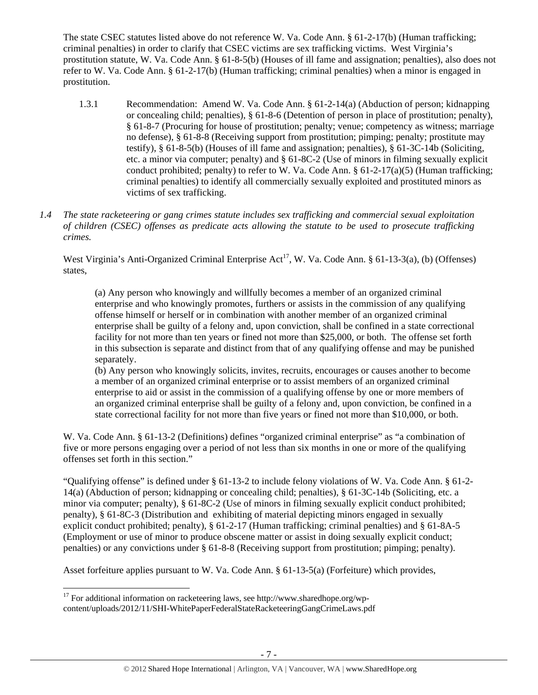The state CSEC statutes listed above do not reference W. Va. Code Ann. § 61-2-17(b) (Human trafficking; criminal penalties) in order to clarify that CSEC victims are sex trafficking victims. West Virginia's prostitution statute, W. Va. Code Ann. § 61-8-5(b) (Houses of ill fame and assignation; penalties), also does not refer to W. Va. Code Ann. § 61-2-17(b) (Human trafficking; criminal penalties) when a minor is engaged in prostitution.

- 1.3.1 Recommendation: Amend W. Va. Code Ann. § 61-2-14(a) (Abduction of person; kidnapping or concealing child; penalties), § 61-8-6 (Detention of person in place of prostitution; penalty), § 61-8-7 (Procuring for house of prostitution; penalty; venue; competency as witness; marriage no defense), § 61-8-8 (Receiving support from prostitution; pimping; penalty; prostitute may testify), § 61-8-5(b) (Houses of ill fame and assignation; penalties), § 61-3C-14b (Soliciting, etc. a minor via computer; penalty) and § 61-8C-2 (Use of minors in filming sexually explicit conduct prohibited; penalty) to refer to W. Va. Code Ann. §  $61-2-17(a)(5)$  (Human trafficking; criminal penalties) to identify all commercially sexually exploited and prostituted minors as victims of sex trafficking.
- *1.4 The state racketeering or gang crimes statute includes sex trafficking and commercial sexual exploitation of children (CSEC) offenses as predicate acts allowing the statute to be used to prosecute trafficking crimes.*

West Virginia's Anti-Organized Criminal Enterprise Act<sup>17</sup>, W. Va. Code Ann. § 61-13-3(a), (b) (Offenses) states,

(a) Any person who knowingly and willfully becomes a member of an organized criminal enterprise and who knowingly promotes, furthers or assists in the commission of any qualifying offense himself or herself or in combination with another member of an organized criminal enterprise shall be guilty of a felony and, upon conviction, shall be confined in a state correctional facility for not more than ten years or fined not more than \$25,000, or both. The offense set forth in this subsection is separate and distinct from that of any qualifying offense and may be punished separately.

(b) Any person who knowingly solicits, invites, recruits, encourages or causes another to become a member of an organized criminal enterprise or to assist members of an organized criminal enterprise to aid or assist in the commission of a qualifying offense by one or more members of an organized criminal enterprise shall be guilty of a felony and, upon conviction, be confined in a state correctional facility for not more than five years or fined not more than \$10,000, or both.

W. Va. Code Ann. § 61-13-2 (Definitions) defines "organized criminal enterprise" as "a combination of five or more persons engaging over a period of not less than six months in one or more of the qualifying offenses set forth in this section."

"Qualifying offense" is defined under § 61-13-2 to include felony violations of W. Va. Code Ann. § 61-2- 14(a) (Abduction of person; kidnapping or concealing child; penalties), § 61-3C-14b (Soliciting, etc. a minor via computer; penalty), § 61-8C-2 (Use of minors in filming sexually explicit conduct prohibited; penalty), § 61-8C-3 (Distribution and exhibiting of material depicting minors engaged in sexually explicit conduct prohibited; penalty), § 61-2-17 (Human trafficking; criminal penalties) and § 61-8A-5 (Employment or use of minor to produce obscene matter or assist in doing sexually explicit conduct; penalties) or any convictions under § 61-8-8 (Receiving support from prostitution; pimping; penalty).

Asset forfeiture applies pursuant to W. Va. Code Ann. § 61-13-5(a) (Forfeiture) which provides,

  $17$  For additional information on racketeering laws, see http://www.sharedhope.org/wpcontent/uploads/2012/11/SHI-WhitePaperFederalStateRacketeeringGangCrimeLaws.pdf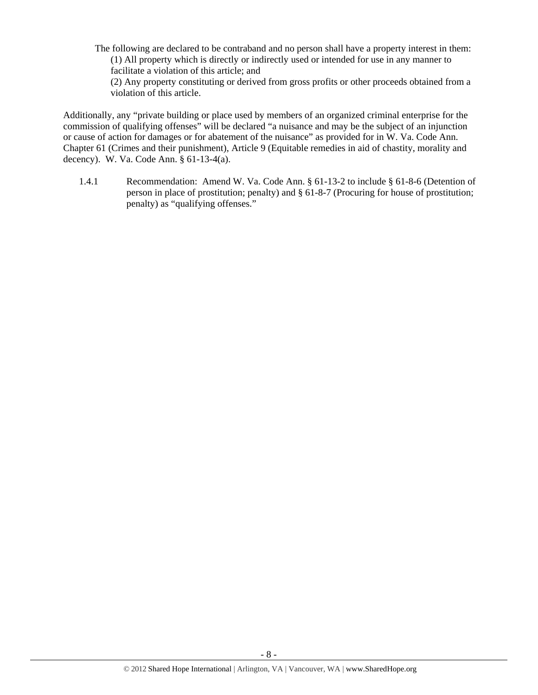The following are declared to be contraband and no person shall have a property interest in them: (1) All property which is directly or indirectly used or intended for use in any manner to facilitate a violation of this article; and

(2) Any property constituting or derived from gross profits or other proceeds obtained from a violation of this article.

Additionally, any "private building or place used by members of an organized criminal enterprise for the commission of qualifying offenses" will be declared "a nuisance and may be the subject of an injunction or cause of action for damages or for abatement of the nuisance" as provided for in W. Va. Code Ann. Chapter 61 (Crimes and their punishment), Article 9 (Equitable remedies in aid of chastity, morality and decency). W. Va. Code Ann. § 61-13-4(a).

1.4.1 Recommendation: Amend W. Va. Code Ann. § 61-13-2 to include § 61-8-6 (Detention of person in place of prostitution; penalty) and § 61-8-7 (Procuring for house of prostitution; penalty) as "qualifying offenses."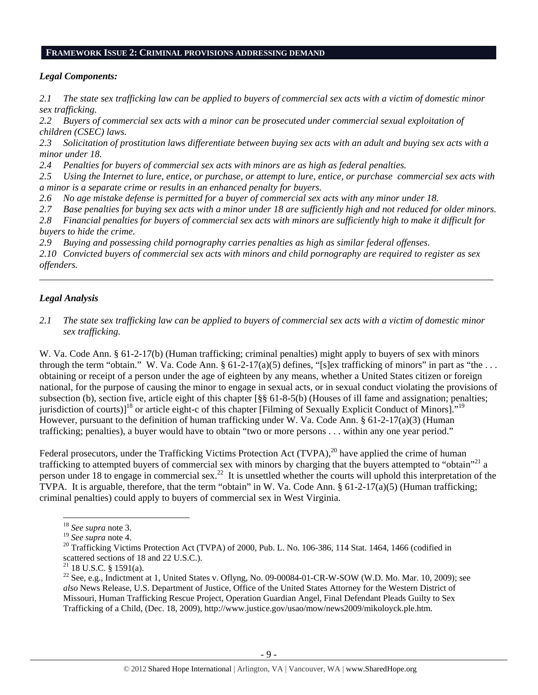#### **FRAMEWORK ISSUE 2: CRIMINAL PROVISIONS ADDRESSING DEMAND**

## *Legal Components:*

*2.1 The state sex trafficking law can be applied to buyers of commercial sex acts with a victim of domestic minor sex trafficking.* 

*2.2 Buyers of commercial sex acts with a minor can be prosecuted under commercial sexual exploitation of children (CSEC) laws.*

*2.3 Solicitation of prostitution laws differentiate between buying sex acts with an adult and buying sex acts with a minor under 18.* 

*2.4 Penalties for buyers of commercial sex acts with minors are as high as federal penalties.*

*2.5 Using the Internet to lure, entice, or purchase, or attempt to lure, entice, or purchase commercial sex acts with a minor is a separate crime or results in an enhanced penalty for buyers.*

*2.6 No age mistake defense is permitted for a buyer of commercial sex acts with any minor under 18.*

*2.7 Base penalties for buying sex acts with a minor under 18 are sufficiently high and not reduced for older minors.*

*2.8 Financial penalties for buyers of commercial sex acts with minors are sufficiently high to make it difficult for buyers to hide the crime.*

*2.9 Buying and possessing child pornography carries penalties as high as similar federal offenses.*

*2.10 Convicted buyers of commercial sex acts with minors and child pornography are required to register as sex offenders.*

\_\_\_\_\_\_\_\_\_\_\_\_\_\_\_\_\_\_\_\_\_\_\_\_\_\_\_\_\_\_\_\_\_\_\_\_\_\_\_\_\_\_\_\_\_\_\_\_\_\_\_\_\_\_\_\_\_\_\_\_\_\_\_\_\_\_\_\_\_\_\_\_\_\_\_\_\_\_\_\_\_\_\_\_\_\_\_\_\_\_\_\_\_\_

# *Legal Analysis*

*2.1 The state sex trafficking law can be applied to buyers of commercial sex acts with a victim of domestic minor sex trafficking.* 

W. Va. Code Ann. § 61-2-17(b) (Human trafficking; criminal penalties) might apply to buyers of sex with minors through the term "obtain." W. Va. Code Ann.  $\S 61-2-17(a)(5)$  defines, "[s]ex trafficking of minors" in part as "the ... obtaining or receipt of a person under the age of eighteen by any means, whether a United States citizen or foreign national, for the purpose of causing the minor to engage in sexual acts, or in sexual conduct violating the provisions of subsection (b), section five, article eight of this chapter [§§ 61-8-5(b) (Houses of ill fame and assignation; penalties; jurisdiction of courts)]<sup>18</sup> or article eight-c of this chapter [Filming of Sexually Explicit Conduct of Minors]."<sup>19</sup> However, pursuant to the definition of human trafficking under W. Va. Code Ann. § 61-2-17(a)(3) (Human trafficking; penalties), a buyer would have to obtain "two or more persons . . . within any one year period."

Federal prosecutors, under the Trafficking Victims Protection Act (TVPA),<sup>20</sup> have applied the crime of human trafficking to attempted buyers of commercial sex with minors by charging that the buyers attempted to "obtain"<sup>21</sup> a person under 18 to engage in commercial sex.<sup>22</sup> It is unsettled whether the courts will uphold this interpretation of the TVPA. It is arguable, therefore, that the term "obtain" in W. Va. Code Ann.  $\S 61-2-17(a)(5)$  (Human trafficking; criminal penalties) could apply to buyers of commercial sex in West Virginia.

<sup>&</sup>lt;sup>18</sup> *See supra* note 3.<br><sup>19</sup> *See supra* note 4.

<sup>&</sup>lt;sup>20</sup> Trafficking Victims Protection Act (TVPA) of 2000, Pub. L. No. 106-386, 114 Stat. 1464, 1466 (codified in scattered sections of 18 and 22 U.S.C.).

 $21$  18 U.S.C. § 1591(a).

 $22$  See, e.g., Indictment at 1, United States v. Oflyng, No. 09-00084-01-CR-W-SOW (W.D. Mo. Mar. 10, 2009); see *also* News Release, U.S. Department of Justice, Office of the United States Attorney for the Western District of Missouri, Human Trafficking Rescue Project, Operation Guardian Angel, Final Defendant Pleads Guilty to Sex Trafficking of a Child, (Dec. 18, 2009), http://www.justice.gov/usao/mow/news2009/mikoloyck.ple.htm.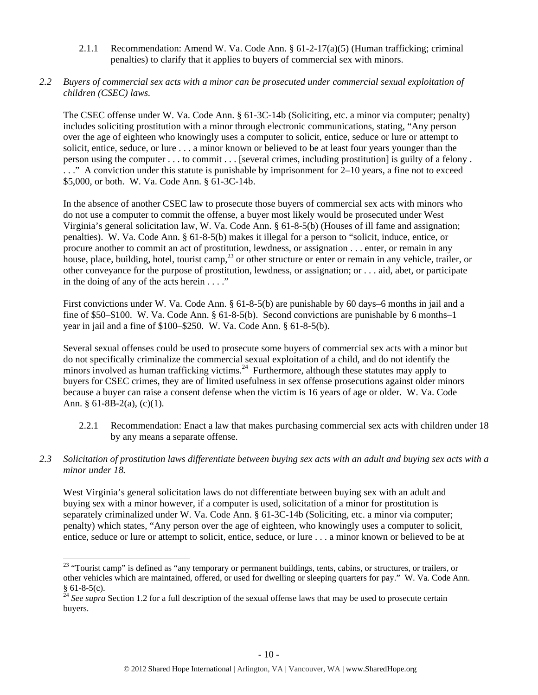- 2.1.1 Recommendation: Amend W. Va. Code Ann.  $\S 61-2-17(a)(5)$  (Human trafficking; criminal penalties) to clarify that it applies to buyers of commercial sex with minors.
- *2.2 Buyers of commercial sex acts with a minor can be prosecuted under commercial sexual exploitation of children (CSEC) laws.*

The CSEC offense under W. Va. Code Ann. § 61-3C-14b (Soliciting, etc. a minor via computer; penalty) includes soliciting prostitution with a minor through electronic communications, stating, "Any person over the age of eighteen who knowingly uses a computer to solicit, entice, seduce or lure or attempt to solicit, entice, seduce, or lure . . . a minor known or believed to be at least four years younger than the person using the computer . . . to commit . . . [several crimes, including prostitution] is guilty of a felony . . . ." A conviction under this statute is punishable by imprisonment for 2–10 years, a fine not to exceed \$5,000, or both. W. Va. Code Ann. § 61-3C-14b.

In the absence of another CSEC law to prosecute those buyers of commercial sex acts with minors who do not use a computer to commit the offense, a buyer most likely would be prosecuted under West Virginia's general solicitation law, W. Va. Code Ann. § 61-8-5(b) (Houses of ill fame and assignation; penalties). W. Va. Code Ann. § 61-8-5(b) makes it illegal for a person to "solicit, induce, entice, or procure another to commit an act of prostitution, lewdness, or assignation . . . enter, or remain in any house, place, building, hotel, tourist camp,<sup>23</sup> or other structure or enter or remain in any vehicle, trailer, or other conveyance for the purpose of prostitution, lewdness, or assignation; or . . . aid, abet, or participate in the doing of any of the acts herein  $\dots$ ."

First convictions under W. Va. Code Ann. § 61-8-5(b) are punishable by 60 days–6 months in jail and a fine of \$50–\$100. W. Va. Code Ann. § 61-8-5(b). Second convictions are punishable by 6 months–1 year in jail and a fine of \$100–\$250. W. Va. Code Ann. § 61-8-5(b).

Several sexual offenses could be used to prosecute some buyers of commercial sex acts with a minor but do not specifically criminalize the commercial sexual exploitation of a child, and do not identify the minors involved as human trafficking victims.<sup>24</sup> Furthermore, although these statutes may apply to buyers for CSEC crimes, they are of limited usefulness in sex offense prosecutions against older minors because a buyer can raise a consent defense when the victim is 16 years of age or older. W. Va. Code Ann. § 61-8B-2(a),  $(c)(1)$ .

- 2.2.1 Recommendation: Enact a law that makes purchasing commercial sex acts with children under 18 by any means a separate offense.
- *2.3 Solicitation of prostitution laws differentiate between buying sex acts with an adult and buying sex acts with a minor under 18.*

West Virginia's general solicitation laws do not differentiate between buying sex with an adult and buying sex with a minor however, if a computer is used, solicitation of a minor for prostitution is separately criminalized under W. Va. Code Ann. § 61-3C-14b (Soliciting, etc. a minor via computer; penalty) which states, "Any person over the age of eighteen, who knowingly uses a computer to solicit, entice, seduce or lure or attempt to solicit, entice, seduce, or lure . . . a minor known or believed to be at

 <sup>23</sup> "Tourist camp" is defined as "any temporary or permanent buildings, tents, cabins, or structures, or trailers, or other vehicles which are maintained, offered, or used for dwelling or sleeping quarters for pay." W. Va. Code Ann.  $§ 61-8-5(c).$ 

<sup>&</sup>lt;sup>24</sup> See supra Section 1.2 for a full description of the sexual offense laws that may be used to prosecute certain buyers.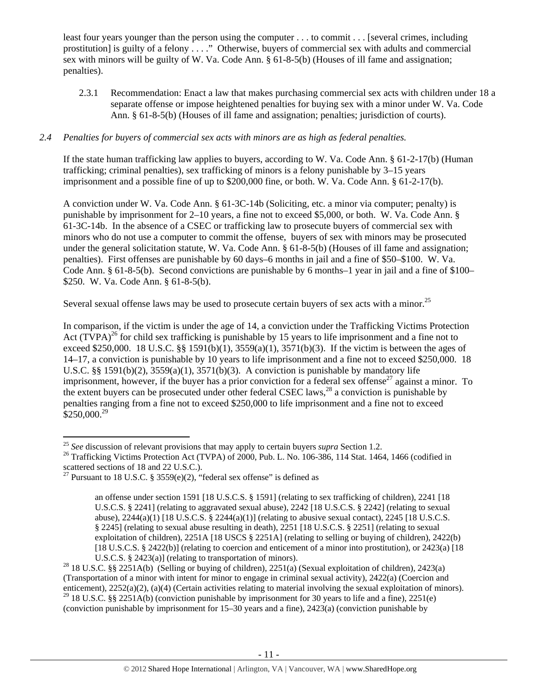least four years younger than the person using the computer . . . to commit . . . [several crimes, including prostitution] is guilty of a felony . . . ." Otherwise, buyers of commercial sex with adults and commercial sex with minors will be guilty of W. Va. Code Ann. § 61-8-5(b) (Houses of ill fame and assignation; penalties).

2.3.1 Recommendation: Enact a law that makes purchasing commercial sex acts with children under 18 a separate offense or impose heightened penalties for buying sex with a minor under W. Va. Code Ann. § 61-8-5(b) (Houses of ill fame and assignation; penalties; jurisdiction of courts).

## *2.4 Penalties for buyers of commercial sex acts with minors are as high as federal penalties.*

If the state human trafficking law applies to buyers, according to W. Va. Code Ann. § 61-2-17(b) (Human trafficking; criminal penalties), sex trafficking of minors is a felony punishable by 3–15 years imprisonment and a possible fine of up to \$200,000 fine, or both. W. Va. Code Ann. § 61-2-17(b).

A conviction under W. Va. Code Ann. § 61-3C-14b (Soliciting, etc. a minor via computer; penalty) is punishable by imprisonment for 2–10 years, a fine not to exceed \$5,000, or both. W. Va. Code Ann. § 61-3C-14b. In the absence of a CSEC or trafficking law to prosecute buyers of commercial sex with minors who do not use a computer to commit the offense, buyers of sex with minors may be prosecuted under the general solicitation statute, W. Va. Code Ann. § 61-8-5(b) (Houses of ill fame and assignation; penalties). First offenses are punishable by 60 days–6 months in jail and a fine of \$50–\$100. W. Va. Code Ann. § 61-8-5(b). Second convictions are punishable by 6 months–1 year in jail and a fine of \$100– \$250. W. Va. Code Ann. § 61-8-5(b).

Several sexual offense laws may be used to prosecute certain buyers of sex acts with a minor.<sup>25</sup>

In comparison, if the victim is under the age of 14, a conviction under the Trafficking Victims Protection Act (TVPA)<sup>26</sup> for child sex trafficking is punishable by 15 years to life imprisonment and a fine not to exceed \$250,000. 18 U.S.C. §§ 1591(b)(1), 3559(a)(1), 3571(b)(3). If the victim is between the ages of 14–17, a conviction is punishable by 10 years to life imprisonment and a fine not to exceed \$250,000. 18 U.S.C. §§ 1591(b)(2), 3559(a)(1), 3571(b)(3). A conviction is punishable by mandatory life imprisonment, however, if the buyer has a prior conviction for a federal sex offense<sup>27</sup> against a minor. To the extent buyers can be prosecuted under other federal CSEC laws,<sup>28</sup> a conviction is punishable by penalties ranging from a fine not to exceed \$250,000 to life imprisonment and a fine not to exceed  $$250,000.<sup>29</sup>$ 

<sup>&</sup>lt;sup>25</sup> See discussion of relevant provisions that may apply to certain buyers *supra* Section 1.2.

<sup>&</sup>lt;sup>26</sup> Trafficking Victims Protection Act (TVPA) of 2000, Pub. L. No. 106-386, 114 Stat. 1464, 1466 (codified in scattered sections of 18 and 22 U.S.C.).

<sup>&</sup>lt;sup>27</sup> Pursuant to 18 U.S.C. § 3559(e)(2), "federal sex offense" is defined as

an offense under section 1591 [18 U.S.C.S. § 1591] (relating to sex trafficking of children), 2241 [18 U.S.C.S. § 2241] (relating to aggravated sexual abuse), 2242 [18 U.S.C.S. § 2242] (relating to sexual abuse), 2244(a)(1) [18 U.S.C.S. § 2244(a)(1)] (relating to abusive sexual contact), 2245 [18 U.S.C.S. § 2245] (relating to sexual abuse resulting in death), 2251 [18 U.S.C.S. § 2251] (relating to sexual exploitation of children), 2251A [18 USCS § 2251A] (relating to selling or buying of children), 2422(b) [18 U.S.C.S. § 2422(b)] (relating to coercion and enticement of a minor into prostitution), or 2423(a) [18

U.S.C.S. § 2423(a)] (relating to transportation of minors).<br><sup>28</sup> 18 U.S.C. §§ 2251A(b) (Selling or buying of children), 2251(a) (Sexual exploitation of children), 2423(a) (Transportation of a minor with intent for minor to engage in criminal sexual activity), 2422(a) (Coercion and enticement), 2252(a)(2), (a)(4) (Certain activities relating to material involving the sexual exploitation of minors). <sup>29</sup> 18 U.S.C. §§ 2251A(b) (conviction punishable by imprisonment for 30 years to life and a fine), 2251(e) (conviction punishable by imprisonment for 15–30 years and a fine), 2423(a) (conviction punishable by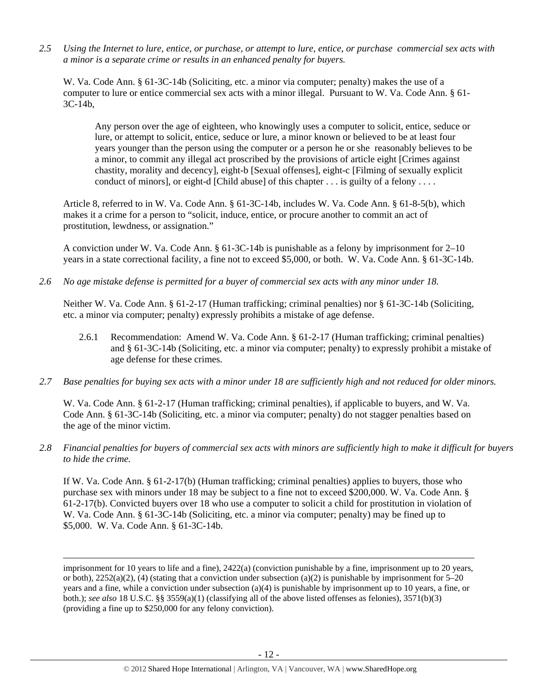*2.5 Using the Internet to lure, entice, or purchase, or attempt to lure, entice, or purchase commercial sex acts with a minor is a separate crime or results in an enhanced penalty for buyers.* 

W. Va. Code Ann. § 61-3C-14b (Soliciting, etc. a minor via computer; penalty) makes the use of a computer to lure or entice commercial sex acts with a minor illegal. Pursuant to W. Va. Code Ann. § 61-  $3C-14b$ ,

Any person over the age of eighteen, who knowingly uses a computer to solicit, entice, seduce or lure, or attempt to solicit, entice, seduce or lure, a minor known or believed to be at least four years younger than the person using the computer or a person he or she reasonably believes to be a minor, to commit any illegal act proscribed by the provisions of article eight [Crimes against chastity, morality and decency], eight-b [Sexual offenses], eight-c [Filming of sexually explicit conduct of minors], or eight-d [Child abuse] of this chapter . . . is guilty of a felony . . . .

Article 8, referred to in W. Va. Code Ann. § 61-3C-14b, includes W. Va. Code Ann. § 61-8-5(b), which makes it a crime for a person to "solicit, induce, entice, or procure another to commit an act of prostitution, lewdness, or assignation."

A conviction under W. Va. Code Ann. § 61-3C-14b is punishable as a felony by imprisonment for 2–10 years in a state correctional facility, a fine not to exceed \$5,000, or both. W. Va. Code Ann. § 61-3C-14b.

*2.6 No age mistake defense is permitted for a buyer of commercial sex acts with any minor under 18.* 

Neither W. Va. Code Ann. § 61-2-17 (Human trafficking; criminal penalties) nor § 61-3C-14b (Soliciting, etc. a minor via computer; penalty) expressly prohibits a mistake of age defense.

- 2.6.1 Recommendation: Amend W. Va. Code Ann. § 61-2-17 (Human trafficking; criminal penalties) and § 61-3C-14b (Soliciting, etc. a minor via computer; penalty) to expressly prohibit a mistake of age defense for these crimes.
- *2.7 Base penalties for buying sex acts with a minor under 18 are sufficiently high and not reduced for older minors.*

W. Va. Code Ann. § 61-2-17 (Human trafficking; criminal penalties), if applicable to buyers, and W. Va. Code Ann. § 61-3C-14b (Soliciting, etc. a minor via computer; penalty) do not stagger penalties based on the age of the minor victim.

*2.8 Financial penalties for buyers of commercial sex acts with minors are sufficiently high to make it difficult for buyers to hide the crime.* 

If W. Va. Code Ann. § 61-2-17(b) (Human trafficking; criminal penalties) applies to buyers, those who purchase sex with minors under 18 may be subject to a fine not to exceed \$200,000. W. Va. Code Ann. § 61-2-17(b). Convicted buyers over 18 who use a computer to solicit a child for prostitution in violation of W. Va. Code Ann. § 61-3C-14b (Soliciting, etc. a minor via computer; penalty) may be fined up to \$5,000. W. Va. Code Ann. § 61-3C-14b.

<u> 1989 - Johann Stein, marwolaethau a gweledydd a ganlad y ganlad y ganlad y ganlad y ganlad y ganlad y ganlad</u>

imprisonment for 10 years to life and a fine), 2422(a) (conviction punishable by a fine, imprisonment up to 20 years, or both),  $2252(a)(2)$ , (4) (stating that a conviction under subsection (a)(2) is punishable by imprisonment for 5–20 years and a fine, while a conviction under subsection (a)(4) is punishable by imprisonment up to 10 years, a fine, or both.); *see also* 18 U.S.C. §§ 3559(a)(1) (classifying all of the above listed offenses as felonies), 3571(b)(3) (providing a fine up to \$250,000 for any felony conviction).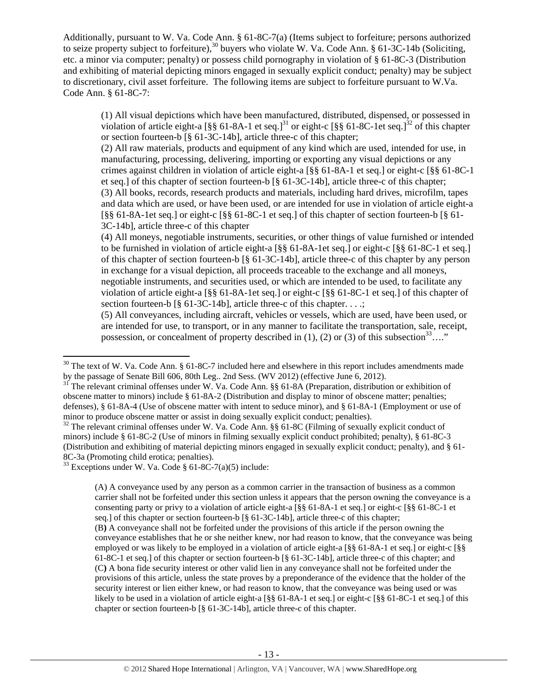Additionally, pursuant to W. Va. Code Ann. § 61-8C-7(a) (Items subject to forfeiture; persons authorized to seize property subject to forfeiture),<sup>30</sup> buyers who violate W. Va. Code Ann. § 61-3C-14b (Soliciting, etc. a minor via computer; penalty) or possess child pornography in violation of § 61-8C-3 (Distribution and exhibiting of material depicting minors engaged in sexually explicit conduct; penalty) may be subject to discretionary, civil asset forfeiture. The following items are subject to forfeiture pursuant to W.Va. Code Ann. § 61-8C-7:

(1) All visual depictions which have been manufactured, distributed, dispensed, or possessed in violation of article eight-a  $\lceil \frac{8}{5} \rceil$  61-8A-1 et seq.]<sup>31</sup> or eight-c  $\lceil \frac{8}{5} \rceil$  61-8C-1 et seq.]<sup>32</sup> of this chapter or section fourteen-b [§ 61-3C-14b], article three-c of this chapter;

(2) All raw materials, products and equipment of any kind which are used, intended for use, in manufacturing, processing, delivering, importing or exporting any visual depictions or any crimes against children in violation of article eight-a [§§ 61-8A-1 et seq.] or eight-c [§§ 61-8C-1 et seq.] of this chapter of section fourteen-b [§ 61-3C-14b], article three-c of this chapter; (3) All books, records, research products and materials, including hard drives, microfilm, tapes and data which are used, or have been used, or are intended for use in violation of article eight-a [§§ 61-8A-1et seq.] or eight-c [§§ 61-8C-1 et seq.] of this chapter of section fourteen-b [§ 61- 3C-14b], article three-c of this chapter

(4) All moneys, negotiable instruments, securities, or other things of value furnished or intended to be furnished in violation of article eight-a [§§ 61-8A-1et seq.] or eight-c [§§ 61-8C-1 et seq.] of this chapter of section fourteen-b [§ 61-3C-14b], article three-c of this chapter by any person in exchange for a visual depiction, all proceeds traceable to the exchange and all moneys, negotiable instruments, and securities used, or which are intended to be used, to facilitate any violation of article eight-a [§§ 61-8A-1et seq.] or eight-c [§§ 61-8C-1 et seq.] of this chapter of section fourteen-b [§ 61-3C-14b], article three-c of this chapter. . . .;

(5) All conveyances, including aircraft, vehicles or vessels, which are used, have been used, or are intended for use, to transport, or in any manner to facilitate the transportation, sale, receipt, possession, or concealment of property described in  $(1)$ ,  $(2)$  or  $(3)$  of this subsection<sup>33</sup>…."

 $33$  Exceptions under W. Va. Code § 61-8C-7(a)(5) include:

(A) A conveyance used by any person as a common carrier in the transaction of business as a common carrier shall not be forfeited under this section unless it appears that the person owning the conveyance is a consenting party or privy to a violation of article eight-a [§§ 61-8A-1 et seq.] or eight-c [§§ 61-8C-1 et seq.] of this chapter or section fourteen-b [§ 61-3C-14b], article three-c of this chapter; (B**)** A conveyance shall not be forfeited under the provisions of this article if the person owning the conveyance establishes that he or she neither knew, nor had reason to know, that the conveyance was being employed or was likely to be employed in a violation of article eight-a [§§ 61-8A-1 et seq.] or eight-c [§§ 61-8C-1 et seq.] of this chapter or section fourteen-b [§ 61-3C-14b], article three-c of this chapter; and (C**)** A bona fide security interest or other valid lien in any conveyance shall not be forfeited under the provisions of this article, unless the state proves by a preponderance of the evidence that the holder of the security interest or lien either knew, or had reason to know, that the conveyance was being used or was likely to be used in a violation of article eight-a [§§ 61-8A-1 et seq.] or eight-c [§§ 61-8C-1 et seq.] of this chapter or section fourteen-b [§ 61-3C-14b], article three-c of this chapter.

<sup>&</sup>lt;sup>30</sup> The text of W. Va. Code Ann. § 61-8C-7 included here and elsewhere in this report includes amendments made by the passage of Senate Bill 606, 80th Leg.. 2nd Sess. (WV 2012) (effective June 6, 2012).

 $b<sup>31</sup>$  The relevant criminal offenses under W. Va. Code Ann. §§ 61-8A (Preparation, distribution or exhibition of obscene matter to minors) include § 61-8A-2 (Distribution and display to minor of obscene matter; penalties; defenses), § 61-8A-4 (Use of obscene matter with intent to seduce minor), and § 61-8A-1 (Employment or use of minor to produce obscene matter or assist in doing sexually explicit conduct; penalties).

 $32$  The relevant criminal offenses under W. Va. Code Ann. §§ 61-8C (Filming of sexually explicit conduct of minors) include § 61-8C-2 (Use of minors in filming sexually explicit conduct prohibited; penalty), § 61-8C-3 (Distribution and exhibiting of material depicting minors engaged in sexually explicit conduct; penalty), and § 61- 8C-3a (Promoting child erotica; penalties).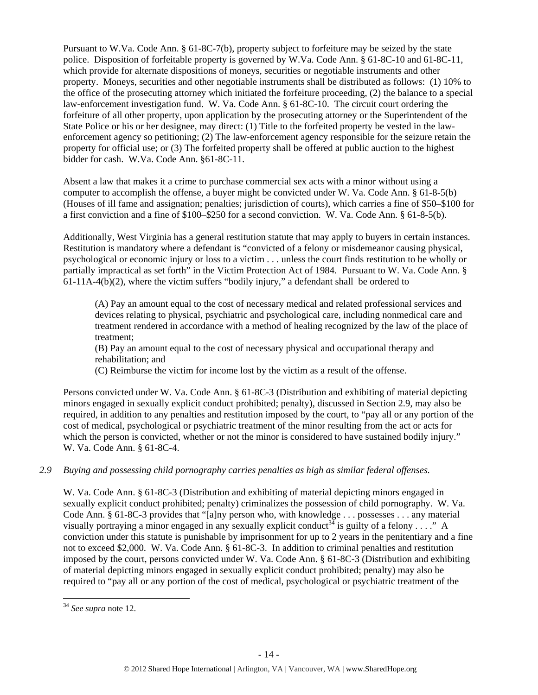Pursuant to W.Va. Code Ann. § 61-8C-7(b), property subject to forfeiture may be seized by the state police. Disposition of forfeitable property is governed by W.Va. Code Ann. § 61-8C-10 and 61-8C-11, which provide for alternate dispositions of moneys, securities or negotiable instruments and other property. Moneys, securities and other negotiable instruments shall be distributed as follows: (1) 10% to the office of the prosecuting attorney which initiated the forfeiture proceeding, (2) the balance to a special law-enforcement investigation fund. W. Va. Code Ann. § 61-8C-10. The circuit court ordering the forfeiture of all other property, upon application by the prosecuting attorney or the Superintendent of the State Police or his or her designee, may direct: (1) Title to the forfeited property be vested in the lawenforcement agency so petitioning; (2) The law-enforcement agency responsible for the seizure retain the property for official use; or (3) The forfeited property shall be offered at public auction to the highest bidder for cash. W.Va. Code Ann. §61-8C-11.

Absent a law that makes it a crime to purchase commercial sex acts with a minor without using a computer to accomplish the offense, a buyer might be convicted under W. Va. Code Ann. § 61-8-5(b) (Houses of ill fame and assignation; penalties; jurisdiction of courts), which carries a fine of \$50–\$100 for a first conviction and a fine of \$100–\$250 for a second conviction. W. Va. Code Ann. § 61-8-5(b).

Additionally, West Virginia has a general restitution statute that may apply to buyers in certain instances. Restitution is mandatory where a defendant is "convicted of a felony or misdemeanor causing physical, psychological or economic injury or loss to a victim . . . unless the court finds restitution to be wholly or partially impractical as set forth" in the Victim Protection Act of 1984. Pursuant to W. Va. Code Ann. §  $61-11A-4(b)(2)$ , where the victim suffers "bodily injury," a defendant shall be ordered to

(A) Pay an amount equal to the cost of necessary medical and related professional services and devices relating to physical, psychiatric and psychological care, including nonmedical care and treatment rendered in accordance with a method of healing recognized by the law of the place of treatment;

(B) Pay an amount equal to the cost of necessary physical and occupational therapy and rehabilitation; and

(C) Reimburse the victim for income lost by the victim as a result of the offense.

Persons convicted under W. Va. Code Ann. § 61-8C-3 (Distribution and exhibiting of material depicting minors engaged in sexually explicit conduct prohibited; penalty), discussed in Section 2.9, may also be required, in addition to any penalties and restitution imposed by the court, to "pay all or any portion of the cost of medical, psychological or psychiatric treatment of the minor resulting from the act or acts for which the person is convicted, whether or not the minor is considered to have sustained bodily injury." W. Va. Code Ann. § 61-8C-4.

# *2.9 Buying and possessing child pornography carries penalties as high as similar federal offenses.*

W. Va. Code Ann. § 61-8C-3 (Distribution and exhibiting of material depicting minors engaged in sexually explicit conduct prohibited; penalty) criminalizes the possession of child pornography. W. Va. Code Ann. § 61-8C-3 provides that "[a]ny person who, with knowledge . . . possesses . . . any material visually portraying a minor engaged in any sexually explicit conduct<sup>34</sup> is guilty of a felony . . . ." A conviction under this statute is punishable by imprisonment for up to 2 years in the penitentiary and a fine not to exceed \$2,000. W. Va. Code Ann. § 61-8C-3. In addition to criminal penalties and restitution imposed by the court, persons convicted under W. Va. Code Ann. § 61-8C-3 (Distribution and exhibiting of material depicting minors engaged in sexually explicit conduct prohibited; penalty) may also be required to "pay all or any portion of the cost of medical, psychological or psychiatric treatment of the

<sup>34</sup> *See supra* note 12.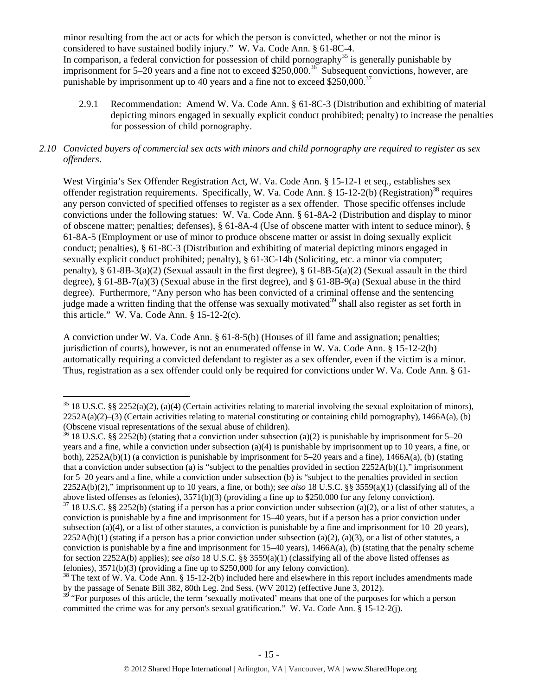minor resulting from the act or acts for which the person is convicted, whether or not the minor is considered to have sustained bodily injury." W. Va. Code Ann. § 61-8C-4. In comparison, a federal conviction for possession of child pornography<sup>35</sup> is generally punishable by imprisonment for 5–20 years and a fine not to exceed \$250,000.<sup>36</sup> Subsequent convictions, however, are punishable by imprisonment up to 40 years and a fine not to exceed  $$250,000.<sup>37</sup>$ 

2.9.1 Recommendation: Amend W. Va. Code Ann. § 61-8C-3 (Distribution and exhibiting of material depicting minors engaged in sexually explicit conduct prohibited; penalty) to increase the penalties for possession of child pornography.

## *2.10 Convicted buyers of commercial sex acts with minors and child pornography are required to register as sex offenders*.

West Virginia's Sex Offender Registration Act, W. Va. Code Ann. § 15-12-1 et seq., establishes sex offender registration requirements. Specifically, W. Va. Code Ann. § 15-12-2(b) (Registration)<sup>38</sup> requires any person convicted of specified offenses to register as a sex offender. Those specific offenses include convictions under the following statues: W. Va. Code Ann. § 61-8A-2 (Distribution and display to minor of obscene matter; penalties; defenses), § 61-8A-4 (Use of obscene matter with intent to seduce minor), § 61-8A-5 (Employment or use of minor to produce obscene matter or assist in doing sexually explicit conduct; penalties), § 61-8C-3 (Distribution and exhibiting of material depicting minors engaged in sexually explicit conduct prohibited; penalty), § 61-3C-14b (Soliciting, etc. a minor via computer; penalty), § 61-8B-3(a)(2) (Sexual assault in the first degree), § 61-8B-5(a)(2) (Sexual assault in the third degree), § 61-8B-7(a)(3) (Sexual abuse in the first degree), and § 61-8B-9(a) (Sexual abuse in the third degree). Furthermore, "Any person who has been convicted of a criminal offense and the sentencing judge made a written finding that the offense was sexually motivated<sup>39</sup> shall also register as set forth in this article." W. Va. Code Ann.  $\S 15-12-2(c)$ .

A conviction under W. Va. Code Ann. § 61-8-5(b) (Houses of ill fame and assignation; penalties; jurisdiction of courts), however, is not an enumerated offense in W. Va. Code Ann. § 15-12-2(b) automatically requiring a convicted defendant to register as a sex offender, even if the victim is a minor. Thus, registration as a sex offender could only be required for convictions under W. Va. Code Ann. § 61-

 $35\,18$  U.S.C. §§ 2252(a)(2), (a)(4) (Certain activities relating to material involving the sexual exploitation of minors),  $2252A(a)(2)$ –(3) (Certain activities relating to material constituting or containing child pornography), 1466A(a), (b) (Obscene visual representations of the sexual abuse of children).

<sup>&</sup>lt;sup>36</sup> 18 U.S.C. §§ 2252(b) (stating that a conviction under subsection (a)(2) is punishable by imprisonment for 5–20 years and a fine, while a conviction under subsection (a)(4) is punishable by imprisonment up to 10 years, a fine, or both), 2252A(b)(1) (a conviction is punishable by imprisonment for 5–20 years and a fine), 1466A(a), (b) (stating that a conviction under subsection (a) is "subject to the penalties provided in section  $2252A(b)(1)$ ," imprisonment for 5–20 years and a fine, while a conviction under subsection (b) is "subject to the penalties provided in section 2252A(b)(2)," imprisonment up to 10 years, a fine, or both); *see also* 18 U.S.C. §§ 3559(a)(1) (classifying all of the above listed offenses as felonies), 3571(b)(3) (providing a fine up to \$250,000 for any felony conviction).

 $37$  18 U.S.C. §§ 2252(b) (stating if a person has a prior conviction under subsection (a)(2), or a list of other statutes, a conviction is punishable by a fine and imprisonment for 15–40 years, but if a person has a prior conviction under subsection (a)(4), or a list of other statutes, a conviction is punishable by a fine and imprisonment for  $10-20$  years),  $2252A(b)(1)$  (stating if a person has a prior conviction under subsection (a)(2), (a)(3), or a list of other statutes, a conviction is punishable by a fine and imprisonment for  $15-40$  years),  $1466A(a)$ , (b) (stating that the penalty scheme for section 2252A(b) applies); *see also* 18 U.S.C. §§ 3559(a)(1) (classifying all of the above listed offenses as felonies), 3571(b)(3) (providing a fine up to \$250,000 for any felony conviction).

<sup>&</sup>lt;sup>38</sup> The text of W. Va. Code Ann. § 15-12-2(b) included here and elsewhere in this report includes amendments made by the passage of Senate Bill 382, 80th Leg. 2nd Sess. (WV 2012) (effective June 3, 2012).

<sup>&</sup>lt;sup>39</sup> "For purposes of this article, the term 'sexually motivated' means that one of the purposes for which a person committed the crime was for any person's sexual gratification." W. Va. Code Ann. § 15-12-2(j).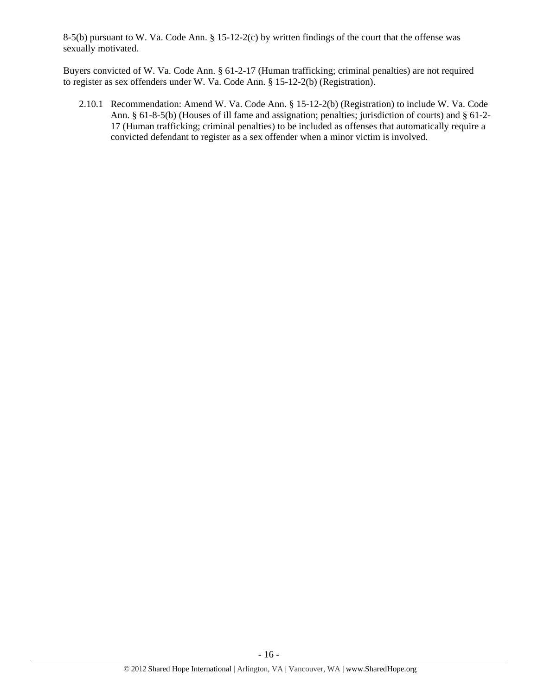8-5(b) pursuant to W. Va. Code Ann. § 15-12-2(c) by written findings of the court that the offense was sexually motivated.

Buyers convicted of W. Va. Code Ann. § 61-2-17 (Human trafficking; criminal penalties) are not required to register as sex offenders under W. Va. Code Ann. § 15-12-2(b) (Registration).

2.10.1 Recommendation: Amend W. Va. Code Ann. § 15-12-2(b) (Registration) to include W. Va. Code Ann. § 61-8-5(b) (Houses of ill fame and assignation; penalties; jurisdiction of courts) and § 61-2- 17 (Human trafficking; criminal penalties) to be included as offenses that automatically require a convicted defendant to register as a sex offender when a minor victim is involved.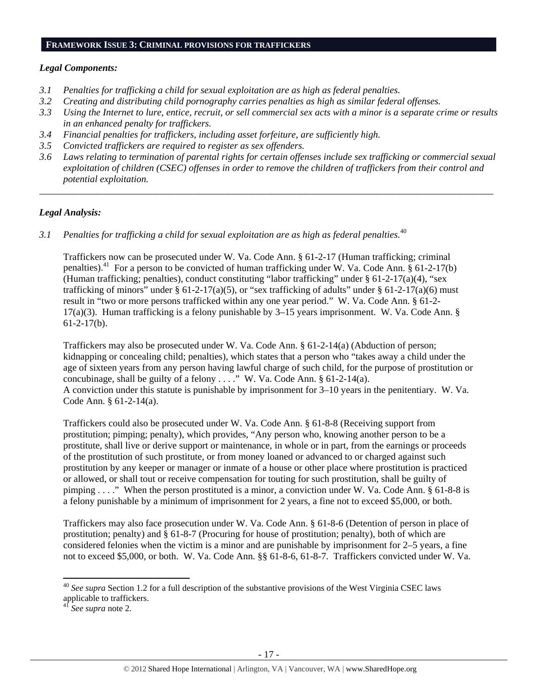#### **FRAMEWORK ISSUE 3: CRIMINAL PROVISIONS FOR TRAFFICKERS**

#### *Legal Components:*

- *3.1 Penalties for trafficking a child for sexual exploitation are as high as federal penalties.*
- *3.2 Creating and distributing child pornography carries penalties as high as similar federal offenses.*
- *3.3 Using the Internet to lure, entice, recruit, or sell commercial sex acts with a minor is a separate crime or results in an enhanced penalty for traffickers.*
- *3.4 Financial penalties for traffickers, including asset forfeiture, are sufficiently high.*
- *3.5 Convicted traffickers are required to register as sex offenders.*
- *3.6 Laws relating to termination of parental rights for certain offenses include sex trafficking or commercial sexual exploitation of children (CSEC) offenses in order to remove the children of traffickers from their control and potential exploitation.*

*\_\_\_\_\_\_\_\_\_\_\_\_\_\_\_\_\_\_\_\_\_\_\_\_\_\_\_\_\_\_\_\_\_\_\_\_\_\_\_\_\_\_\_\_\_\_\_\_\_\_\_\_\_\_\_\_\_\_\_\_\_\_\_\_\_\_\_\_\_\_\_\_\_\_\_\_\_\_\_\_\_\_\_\_\_\_\_\_\_\_\_\_\_\_* 

# *Legal Analysis:*

*3.1 Penalties for trafficking a child for sexual exploitation are as high as federal penalties.*<sup>40</sup>

Traffickers now can be prosecuted under W. Va. Code Ann. § 61-2-17 (Human trafficking; criminal penalties).<sup>41</sup> For a person to be convicted of human trafficking under W. Va. Code Ann.  $\S$  61-2-17(b) (Human trafficking; penalties), conduct constituting "labor trafficking" under  $\S 61-2-17(a)(4)$ , "sex trafficking of minors" under § 61-2-17(a)(5), or "sex trafficking of adults" under § 61-2-17(a)(6) must result in "two or more persons trafficked within any one year period." W. Va. Code Ann. § 61-2-  $17(a)(3)$ . Human trafficking is a felony punishable by 3–15 years imprisonment. W. Va. Code Ann. § 61-2-17(b).

Traffickers may also be prosecuted under W. Va. Code Ann. § 61-2-14(a) (Abduction of person; kidnapping or concealing child; penalties), which states that a person who "takes away a child under the age of sixteen years from any person having lawful charge of such child, for the purpose of prostitution or concubinage, shall be guilty of a felony  $\dots$ ." W. Va. Code Ann. § 61-2-14(a). A conviction under this statute is punishable by imprisonment for 3–10 years in the penitentiary. W. Va. Code Ann. § 61-2-14(a).

Traffickers could also be prosecuted under W. Va. Code Ann. § 61-8-8 (Receiving support from prostitution; pimping; penalty), which provides, "Any person who, knowing another person to be a prostitute, shall live or derive support or maintenance, in whole or in part, from the earnings or proceeds of the prostitution of such prostitute, or from money loaned or advanced to or charged against such prostitution by any keeper or manager or inmate of a house or other place where prostitution is practiced or allowed, or shall tout or receive compensation for touting for such prostitution, shall be guilty of pimping . . . ." When the person prostituted is a minor, a conviction under W. Va. Code Ann. § 61-8-8 is a felony punishable by a minimum of imprisonment for 2 years, a fine not to exceed \$5,000, or both.

Traffickers may also face prosecution under W. Va. Code Ann. § 61-8-6 (Detention of person in place of prostitution; penalty) and § 61-8-7 (Procuring for house of prostitution; penalty), both of which are considered felonies when the victim is a minor and are punishable by imprisonment for 2–5 years, a fine not to exceed \$5,000, or both. W. Va. Code Ann. §§ 61-8-6, 61-8-7. Traffickers convicted under W. Va.

<sup>40</sup> *See supra* Section 1.2 for a full description of the substantive provisions of the West Virginia CSEC laws applicable to traffickers.

<sup>41</sup> *See supra* note 2.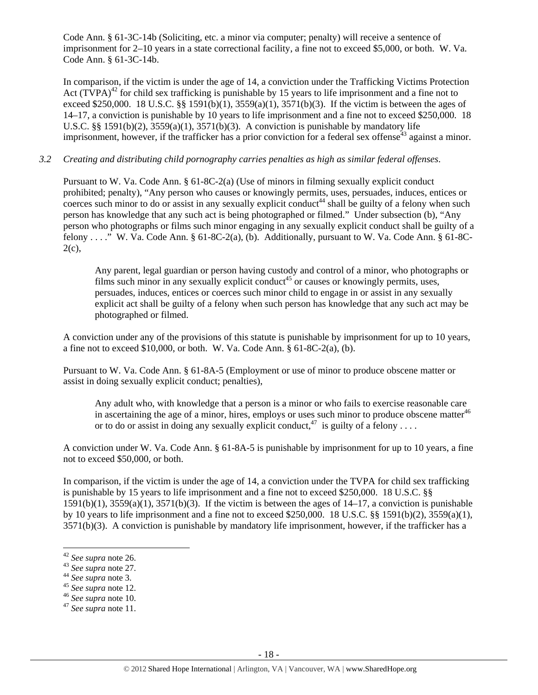Code Ann. § 61-3C-14b (Soliciting, etc. a minor via computer; penalty) will receive a sentence of imprisonment for 2–10 years in a state correctional facility, a fine not to exceed \$5,000, or both. W. Va. Code Ann. § 61-3C-14b.

In comparison, if the victim is under the age of 14, a conviction under the Trafficking Victims Protection Act (TVPA)<sup>42</sup> for child sex trafficking is punishable by 15 years to life imprisonment and a fine not to exceed \$250,000. 18 U.S.C. §§ 1591(b)(1), 3559(a)(1), 3571(b)(3). If the victim is between the ages of 14–17, a conviction is punishable by 10 years to life imprisonment and a fine not to exceed \$250,000. 18 U.S.C.  $\S$ § 1591(b)(2), 3559(a)(1), 3571(b)(3). A conviction is punishable by mandatory life imprisonment, however, if the trafficker has a prior conviction for a federal sex offense $43$  against a minor.

## *3.2 Creating and distributing child pornography carries penalties as high as similar federal offenses*.

Pursuant to W. Va. Code Ann. § 61-8C-2(a) (Use of minors in filming sexually explicit conduct prohibited; penalty), "Any person who causes or knowingly permits, uses, persuades, induces, entices or coerces such minor to do or assist in any sexually explicit conduct<sup>44</sup> shall be guilty of a felony when such person has knowledge that any such act is being photographed or filmed." Under subsection (b), "Any person who photographs or films such minor engaging in any sexually explicit conduct shall be guilty of a felony . . . ." W. Va. Code Ann. § 61-8C-2(a), (b). Additionally, pursuant to W. Va. Code Ann. § 61-8C- $2(c)$ ,

Any parent, legal guardian or person having custody and control of a minor, who photographs or films such minor in any sexually explicit conduct<sup>45</sup> or causes or knowingly permits, uses, persuades, induces, entices or coerces such minor child to engage in or assist in any sexually explicit act shall be guilty of a felony when such person has knowledge that any such act may be photographed or filmed.

A conviction under any of the provisions of this statute is punishable by imprisonment for up to 10 years, a fine not to exceed  $$10,000$ , or both. W. Va. Code Ann.  $§ 61-8C-2(a)$ , (b).

Pursuant to W. Va. Code Ann. § 61-8A-5 (Employment or use of minor to produce obscene matter or assist in doing sexually explicit conduct; penalties),

Any adult who, with knowledge that a person is a minor or who fails to exercise reasonable care in ascertaining the age of a minor, hires, employs or uses such minor to produce obscene matter $46$ or to do or assist in doing any sexually explicit conduct.<sup>47</sup> is guilty of a felony . . . .

A conviction under W. Va. Code Ann. § 61-8A-5 is punishable by imprisonment for up to 10 years, a fine not to exceed \$50,000, or both.

In comparison, if the victim is under the age of 14, a conviction under the TVPA for child sex trafficking is punishable by 15 years to life imprisonment and a fine not to exceed \$250,000. 18 U.S.C. §§  $1591(b)(1)$ ,  $3559(a)(1)$ ,  $3571(b)(3)$ . If the victim is between the ages of  $14-17$ , a conviction is punishable by 10 years to life imprisonment and a fine not to exceed \$250,000. 18 U.S.C. §§ 1591(b)(2), 3559(a)(1), 3571(b)(3). A conviction is punishable by mandatory life imprisonment, however, if the trafficker has a

- 
- 
- <sup>42</sup> *See supra* note 26. 43 *See supra* note 27. 44 *See supra* note 3. 45 *See supra* note 12. 46 *See supra* note 10. 47 *See supra* note 11.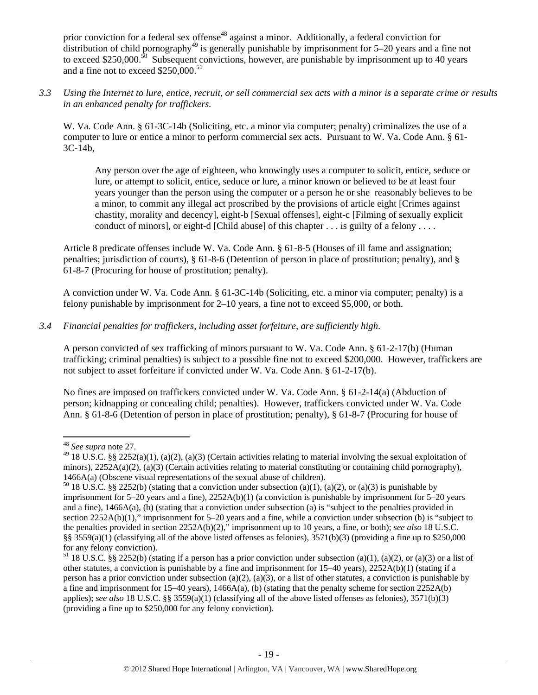prior conviction for a federal sex offense<sup>48</sup> against a minor. Additionally, a federal conviction for distribution of child pornography<sup>49</sup> is generally punishable by imprisonment for  $5-20$  years and a fine not to exceed \$250,000.<sup>50</sup> Subsequent convictions, however, are punishable by imprisonment up to 40 years and a fine not to exceed \$250,000.<sup>51</sup>

*3.3 Using the Internet to lure, entice, recruit, or sell commercial sex acts with a minor is a separate crime or results in an enhanced penalty for traffickers.* 

W. Va. Code Ann. § 61-3C-14b (Soliciting, etc. a minor via computer; penalty) criminalizes the use of a computer to lure or entice a minor to perform commercial sex acts. Pursuant to W. Va. Code Ann. § 61- 3C-14b,

Any person over the age of eighteen, who knowingly uses a computer to solicit, entice, seduce or lure, or attempt to solicit, entice, seduce or lure, a minor known or believed to be at least four years younger than the person using the computer or a person he or she reasonably believes to be a minor, to commit any illegal act proscribed by the provisions of article eight [Crimes against chastity, morality and decency], eight-b [Sexual offenses], eight-c [Filming of sexually explicit conduct of minors], or eight-d [Child abuse] of this chapter . . . is guilty of a felony . . . .

Article 8 predicate offenses include W. Va. Code Ann. § 61-8-5 (Houses of ill fame and assignation; penalties; jurisdiction of courts), § 61-8-6 (Detention of person in place of prostitution; penalty), and § 61-8-7 (Procuring for house of prostitution; penalty).

A conviction under W. Va. Code Ann. § 61-3C-14b (Soliciting, etc. a minor via computer; penalty) is a felony punishable by imprisonment for 2–10 years, a fine not to exceed \$5,000, or both.

# *3.4 Financial penalties for traffickers, including asset forfeiture, are sufficiently high*.

A person convicted of sex trafficking of minors pursuant to W. Va. Code Ann. § 61-2-17(b) (Human trafficking; criminal penalties) is subject to a possible fine not to exceed \$200,000. However, traffickers are not subject to asset forfeiture if convicted under W. Va. Code Ann. § 61-2-17(b).

No fines are imposed on traffickers convicted under W. Va. Code Ann. § 61-2-14(a) (Abduction of person; kidnapping or concealing child; penalties). However, traffickers convicted under W. Va. Code Ann. § 61-8-6 (Detention of person in place of prostitution; penalty), § 61-8-7 (Procuring for house of

 <sup>48</sup> *See supra* note 27.

<sup>&</sup>lt;sup>49</sup> 18 U.S.C. §§ 2252(a)(1), (a)(2), (a)(3) (Certain activities relating to material involving the sexual exploitation of minors),  $2252A(a)(2)$ ,  $(a)(3)$  (Certain activities relating to material constituting or containing child pornography),

<sup>1466</sup>A(a) (Obscene visual representations of the sexual abuse of children).<br><sup>50</sup> 18 U.S.C. §§ 2252(b) (stating that a conviction under subsection (a)(1), (a)(2), or (a)(3) is punishable by imprisonment for 5–20 years and a fine), 2252A(b)(1) (a conviction is punishable by imprisonment for 5–20 years and a fine), 1466A(a), (b) (stating that a conviction under subsection (a) is "subject to the penalties provided in section 2252A(b)(1)," imprisonment for 5–20 years and a fine, while a conviction under subsection (b) is "subject to the penalties provided in section 2252A(b)(2)," imprisonment up to 10 years, a fine, or both); *see also* 18 U.S.C. §§ 3559(a)(1) (classifying all of the above listed offenses as felonies), 3571(b)(3) (providing a fine up to \$250,000 for any felony conviction).

<sup>&</sup>lt;sup>51</sup> 18 U.S.C. §§ 2252(b) (stating if a person has a prior conviction under subsection (a)(1), (a)(2), or (a)(3) or a list of other statutes, a conviction is punishable by a fine and imprisonment for 15–40 years), 2252A(b)(1) (stating if a person has a prior conviction under subsection (a)(2), (a)(3), or a list of other statutes, a conviction is punishable by a fine and imprisonment for  $15-40$  years),  $1466A(a)$ , (b) (stating that the penalty scheme for section  $2252A(b)$ applies); *see also* 18 U.S.C. §§ 3559(a)(1) (classifying all of the above listed offenses as felonies), 3571(b)(3) (providing a fine up to \$250,000 for any felony conviction).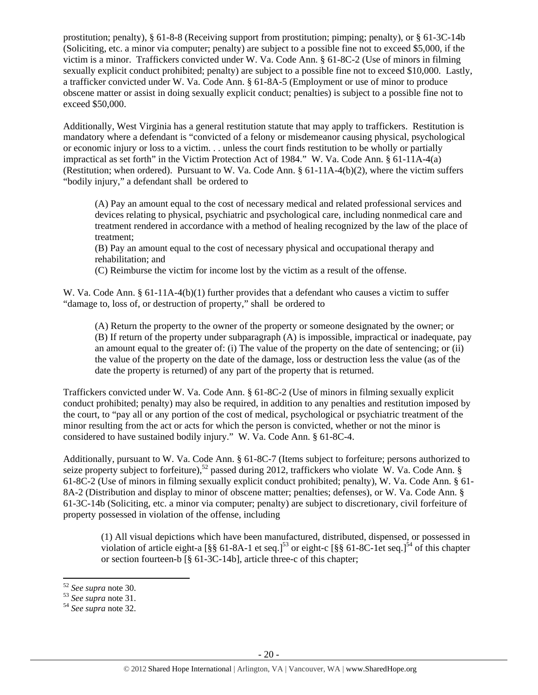prostitution; penalty), § 61-8-8 (Receiving support from prostitution; pimping; penalty), or § 61-3C-14b (Soliciting, etc. a minor via computer; penalty) are subject to a possible fine not to exceed \$5,000, if the victim is a minor. Traffickers convicted under W. Va. Code Ann. § 61-8C-2 (Use of minors in filming sexually explicit conduct prohibited; penalty) are subject to a possible fine not to exceed \$10,000. Lastly, a trafficker convicted under W. Va. Code Ann. § 61-8A-5 (Employment or use of minor to produce obscene matter or assist in doing sexually explicit conduct; penalties) is subject to a possible fine not to exceed \$50,000.

Additionally, West Virginia has a general restitution statute that may apply to traffickers. Restitution is mandatory where a defendant is "convicted of a felony or misdemeanor causing physical, psychological or economic injury or loss to a victim. . . unless the court finds restitution to be wholly or partially impractical as set forth" in the Victim Protection Act of 1984." W. Va. Code Ann. § 61-11A-4(a) (Restitution; when ordered). Pursuant to W. Va. Code Ann. § 61-11A-4(b)(2), where the victim suffers "bodily injury," a defendant shall be ordered to

(A) Pay an amount equal to the cost of necessary medical and related professional services and devices relating to physical, psychiatric and psychological care, including nonmedical care and treatment rendered in accordance with a method of healing recognized by the law of the place of treatment;

(B) Pay an amount equal to the cost of necessary physical and occupational therapy and rehabilitation; and

(C) Reimburse the victim for income lost by the victim as a result of the offense.

W. Va. Code Ann. § 61-11A-4(b)(1) further provides that a defendant who causes a victim to suffer "damage to, loss of, or destruction of property," shall be ordered to

(A) Return the property to the owner of the property or someone designated by the owner; or (B) If return of the property under subparagraph (A) is impossible, impractical or inadequate, pay an amount equal to the greater of: (i) The value of the property on the date of sentencing; or (ii) the value of the property on the date of the damage, loss or destruction less the value (as of the date the property is returned) of any part of the property that is returned.

Traffickers convicted under W. Va. Code Ann. § 61-8C-2 (Use of minors in filming sexually explicit conduct prohibited; penalty) may also be required, in addition to any penalties and restitution imposed by the court, to "pay all or any portion of the cost of medical, psychological or psychiatric treatment of the minor resulting from the act or acts for which the person is convicted, whether or not the minor is considered to have sustained bodily injury." W. Va. Code Ann. § 61-8C-4.

Additionally, pursuant to W. Va. Code Ann. § 61-8C-7 (Items subject to forfeiture; persons authorized to seize property subject to forfeiture),<sup>52</sup> passed during 2012, traffickers who violate W. Va. Code Ann. § 61-8C-2 (Use of minors in filming sexually explicit conduct prohibited; penalty), W. Va. Code Ann. § 61- 8A-2 (Distribution and display to minor of obscene matter; penalties; defenses), or W. Va. Code Ann. § 61-3C-14b (Soliciting, etc. a minor via computer; penalty) are subject to discretionary, civil forfeiture of property possessed in violation of the offense, including

(1) All visual depictions which have been manufactured, distributed, dispensed, or possessed in violation of article eight-a  $\left[\frac{8}{5}\right]$  61-8A-1 et seq.]<sup>53</sup> or eight-c  $\left[\frac{8}{5}\right]$  61-8C-1 et seq.]<sup>54</sup> of this chapter or section fourteen-b [§ 61-3C-14b], article three-c of this chapter;

<sup>52</sup> *See supra* note 30. 53 *See supra* note 31. 54 *See supra* note 32.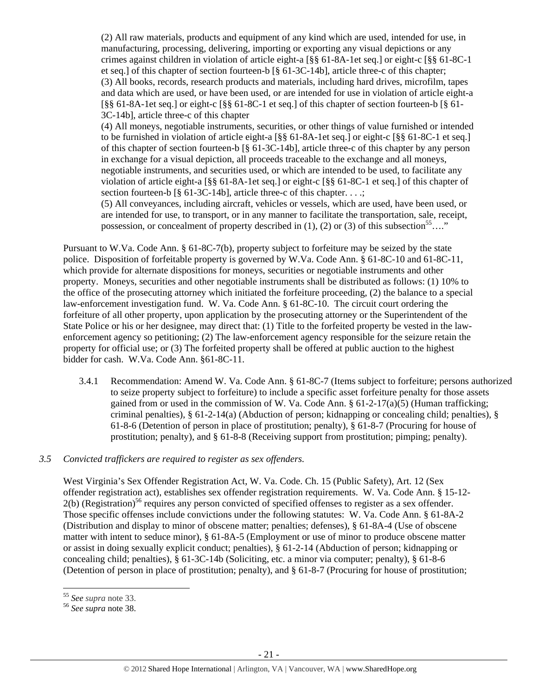(2) All raw materials, products and equipment of any kind which are used, intended for use, in manufacturing, processing, delivering, importing or exporting any visual depictions or any crimes against children in violation of article eight-a [§§ 61-8A-1et seq.] or eight-c [§§ 61-8C-1 et seq.] of this chapter of section fourteen-b [§ 61-3C-14b], article three-c of this chapter; (3) All books, records, research products and materials, including hard drives, microfilm, tapes and data which are used, or have been used, or are intended for use in violation of article eight-a  $\lceil \S \S \S \rceil - 8A - 1$ et seq.] or eight-c  $\lceil \S \S \S \rceil - 8C - 1$  et seq.] of this chapter of section fourteen-b  $\lceil \S \S \rceil - 1$ 3C-14b], article three-c of this chapter

(4) All moneys, negotiable instruments, securities, or other things of value furnished or intended to be furnished in violation of article eight-a [§§ 61-8A-1et seq.] or eight-c [§§ 61-8C-1 et seq.] of this chapter of section fourteen-b [§ 61-3C-14b], article three-c of this chapter by any person in exchange for a visual depiction, all proceeds traceable to the exchange and all moneys, negotiable instruments, and securities used, or which are intended to be used, to facilitate any violation of article eight-a [§§ 61-8A-1et seq.] or eight-c [§§ 61-8C-1 et seq.] of this chapter of section fourteen-b [§ 61-3C-14b], article three-c of this chapter. . . .;

(5) All conveyances, including aircraft, vehicles or vessels, which are used, have been used, or are intended for use, to transport, or in any manner to facilitate the transportation, sale, receipt, possession, or concealment of property described in (1), (2) or (3) of this subsection<sup>55</sup>…."

Pursuant to W.Va. Code Ann. § 61-8C-7(b), property subject to forfeiture may be seized by the state police. Disposition of forfeitable property is governed by W.Va. Code Ann. § 61-8C-10 and 61-8C-11, which provide for alternate dispositions for moneys, securities or negotiable instruments and other property. Moneys, securities and other negotiable instruments shall be distributed as follows: (1) 10% to the office of the prosecuting attorney which initiated the forfeiture proceeding, (2) the balance to a special law-enforcement investigation fund. W. Va. Code Ann. § 61-8C-10. The circuit court ordering the forfeiture of all other property, upon application by the prosecuting attorney or the Superintendent of the State Police or his or her designee, may direct that: (1) Title to the forfeited property be vested in the lawenforcement agency so petitioning; (2) The law-enforcement agency responsible for the seizure retain the property for official use; or (3) The forfeited property shall be offered at public auction to the highest bidder for cash. W.Va. Code Ann. §61-8C-11.

3.4.1 Recommendation: Amend W. Va. Code Ann. § 61-8C-7 (Items subject to forfeiture; persons authorized to seize property subject to forfeiture) to include a specific asset forfeiture penalty for those assets gained from or used in the commission of W. Va. Code Ann.  $\S 61-2-17(a)(5)$  (Human trafficking; criminal penalties), § 61-2-14(a) (Abduction of person; kidnapping or concealing child; penalties), § 61-8-6 (Detention of person in place of prostitution; penalty), § 61-8-7 (Procuring for house of prostitution; penalty), and § 61-8-8 (Receiving support from prostitution; pimping; penalty).

# *3.5 Convicted traffickers are required to register as sex offenders.*

West Virginia's Sex Offender Registration Act, W. Va. Code. Ch. 15 (Public Safety), Art. 12 (Sex offender registration act), establishes sex offender registration requirements. W. Va. Code Ann. § 15-12-  $2(b)$  (Registration)<sup>56</sup> requires any person convicted of specified offenses to register as a sex offender. Those specific offenses include convictions under the following statutes: W. Va. Code Ann. § 61-8A-2 (Distribution and display to minor of obscene matter; penalties; defenses), § 61-8A-4 (Use of obscene matter with intent to seduce minor), § 61-8A-5 (Employment or use of minor to produce obscene matter or assist in doing sexually explicit conduct; penalties), § 61-2-14 (Abduction of person; kidnapping or concealing child; penalties), § 61-3C-14b (Soliciting, etc. a minor via computer; penalty), § 61-8-6 (Detention of person in place of prostitution; penalty), and § 61-8-7 (Procuring for house of prostitution;

<sup>55</sup> *See supra* note 33. 56 *See supra* note 38.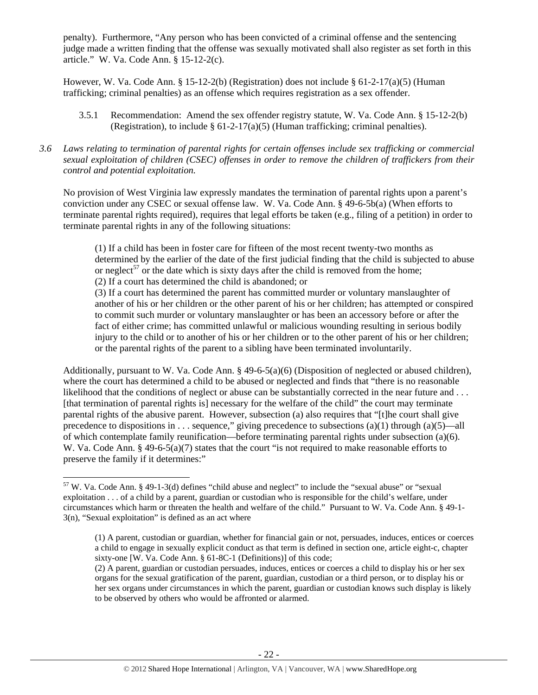penalty). Furthermore, "Any person who has been convicted of a criminal offense and the sentencing judge made a written finding that the offense was sexually motivated shall also register as set forth in this article." W. Va. Code Ann. § 15-12-2(c).

However, W. Va. Code Ann. § 15-12-2(b) (Registration) does not include § 61-2-17(a)(5) (Human trafficking; criminal penalties) as an offense which requires registration as a sex offender.

- 3.5.1 Recommendation: Amend the sex offender registry statute, W. Va. Code Ann. § 15-12-2(b) (Registration), to include  $\S$  61-2-17(a)(5) (Human trafficking; criminal penalties).
- *3.6 Laws relating to termination of parental rights for certain offenses include sex trafficking or commercial sexual exploitation of children (CSEC) offenses in order to remove the children of traffickers from their control and potential exploitation.*

No provision of West Virginia law expressly mandates the termination of parental rights upon a parent's conviction under any CSEC or sexual offense law. W. Va. Code Ann. § 49-6-5b(a) (When efforts to terminate parental rights required), requires that legal efforts be taken (e.g., filing of a petition) in order to terminate parental rights in any of the following situations:

(1) If a child has been in foster care for fifteen of the most recent twenty-two months as determined by the earlier of the date of the first judicial finding that the child is subjected to abuse or neglect<sup>57</sup> or the date which is sixty days after the child is removed from the home; (2) If a court has determined the child is abandoned; or

(3) If a court has determined the parent has committed murder or voluntary manslaughter of another of his or her children or the other parent of his or her children; has attempted or conspired to commit such murder or voluntary manslaughter or has been an accessory before or after the fact of either crime; has committed unlawful or malicious wounding resulting in serious bodily injury to the child or to another of his or her children or to the other parent of his or her children; or the parental rights of the parent to a sibling have been terminated involuntarily.

Additionally, pursuant to W. Va. Code Ann. § 49-6-5(a)(6) (Disposition of neglected or abused children), where the court has determined a child to be abused or neglected and finds that "there is no reasonable likelihood that the conditions of neglect or abuse can be substantially corrected in the near future and . . . [that termination of parental rights is] necessary for the welfare of the child" the court may terminate parental rights of the abusive parent. However, subsection (a) also requires that "[t]he court shall give precedence to dispositions in . . . sequence," giving precedence to subsections (a)(1) through (a)(5)—all of which contemplate family reunification—before terminating parental rights under subsection (a)(6). W. Va. Code Ann. § 49-6-5(a)(7) states that the court "is not required to make reasonable efforts to preserve the family if it determines:"

<sup>57</sup> W. Va. Code Ann. § 49-1-3(d) defines "child abuse and neglect" to include the "sexual abuse" or "sexual exploitation . . . of a child by a parent, guardian or custodian who is responsible for the child's welfare, under circumstances which harm or threaten the health and welfare of the child." Pursuant to W. Va. Code Ann. § 49-1- 3(n), "Sexual exploitation" is defined as an act where

<sup>(1)</sup> A parent, custodian or guardian, whether for financial gain or not, persuades, induces, entices or coerces a child to engage in sexually explicit conduct as that term is defined in section one, article eight-c, chapter sixty-one [W. Va. Code Ann. § 61-8C-1 (Definitions)] of this code;

<sup>(2)</sup> A parent, guardian or custodian persuades, induces, entices or coerces a child to display his or her sex organs for the sexual gratification of the parent, guardian, custodian or a third person, or to display his or her sex organs under circumstances in which the parent, guardian or custodian knows such display is likely to be observed by others who would be affronted or alarmed.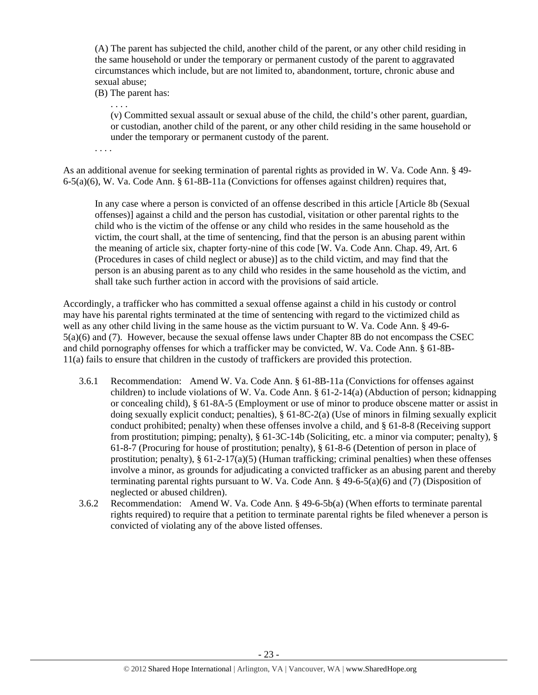(A) The parent has subjected the child, another child of the parent, or any other child residing in the same household or under the temporary or permanent custody of the parent to aggravated circumstances which include, but are not limited to, abandonment, torture, chronic abuse and sexual abuse;

(B) The parent has:

. . . .

(v) Committed sexual assault or sexual abuse of the child, the child's other parent, guardian, or custodian, another child of the parent, or any other child residing in the same household or under the temporary or permanent custody of the parent.

. . . .

As an additional avenue for seeking termination of parental rights as provided in W. Va. Code Ann. § 49- 6-5(a)(6), W. Va. Code Ann. § 61-8B-11a (Convictions for offenses against children) requires that,

In any case where a person is convicted of an offense described in this article [Article 8b (Sexual offenses)] against a child and the person has custodial, visitation or other parental rights to the child who is the victim of the offense or any child who resides in the same household as the victim, the court shall, at the time of sentencing, find that the person is an abusing parent within the meaning of article six, chapter forty-nine of this code [W. Va. Code Ann. Chap. 49, Art. 6 (Procedures in cases of child neglect or abuse)] as to the child victim, and may find that the person is an abusing parent as to any child who resides in the same household as the victim, and shall take such further action in accord with the provisions of said article.

Accordingly, a trafficker who has committed a sexual offense against a child in his custody or control may have his parental rights terminated at the time of sentencing with regard to the victimized child as well as any other child living in the same house as the victim pursuant to W. Va. Code Ann. § 49-6- 5(a)(6) and (7). However, because the sexual offense laws under Chapter 8B do not encompass the CSEC and child pornography offenses for which a trafficker may be convicted, W. Va. Code Ann. § 61-8B-11(a) fails to ensure that children in the custody of traffickers are provided this protection.

- 3.6.1 Recommendation: Amend W. Va. Code Ann. § 61-8B-11a (Convictions for offenses against children) to include violations of W. Va. Code Ann.  $\S 61-2-14(a)$  (Abduction of person; kidnapping or concealing child), § 61-8A-5 (Employment or use of minor to produce obscene matter or assist in doing sexually explicit conduct; penalties), § 61-8C-2(a) (Use of minors in filming sexually explicit conduct prohibited; penalty) when these offenses involve a child, and § 61-8-8 (Receiving support from prostitution; pimping; penalty), § 61-3C-14b (Soliciting, etc. a minor via computer; penalty), § 61-8-7 (Procuring for house of prostitution; penalty), § 61-8-6 (Detention of person in place of prostitution; penalty),  $\S 61-2-17(a)(5)$  (Human trafficking; criminal penalties) when these offenses involve a minor, as grounds for adjudicating a convicted trafficker as an abusing parent and thereby terminating parental rights pursuant to W. Va. Code Ann. § 49-6-5(a)(6) and (7) (Disposition of neglected or abused children).
- 3.6.2 Recommendation: Amend W. Va. Code Ann. § 49-6-5b(a) (When efforts to terminate parental rights required) to require that a petition to terminate parental rights be filed whenever a person is convicted of violating any of the above listed offenses.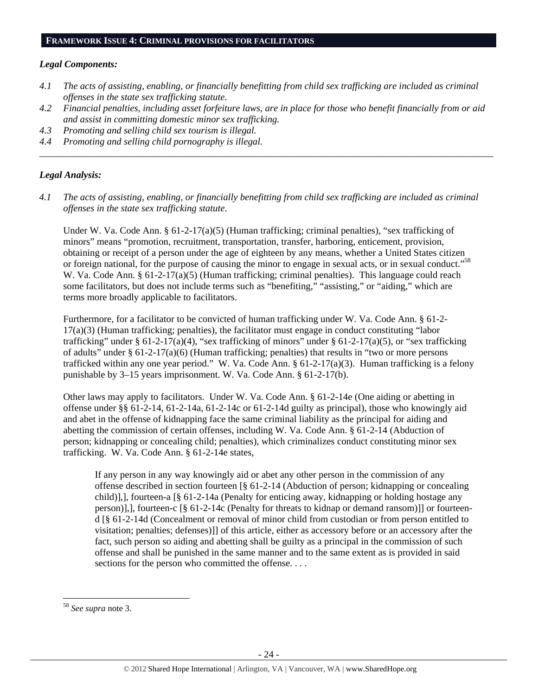#### *Legal Components:*

- *4.1 The acts of assisting, enabling, or financially benefitting from child sex trafficking are included as criminal offenses in the state sex trafficking statute.*
- *4.2 Financial penalties, including asset forfeiture laws, are in place for those who benefit financially from or aid and assist in committing domestic minor sex trafficking.*

*\_\_\_\_\_\_\_\_\_\_\_\_\_\_\_\_\_\_\_\_\_\_\_\_\_\_\_\_\_\_\_\_\_\_\_\_\_\_\_\_\_\_\_\_\_\_\_\_\_\_\_\_\_\_\_\_\_\_\_\_\_\_\_\_\_\_\_\_\_\_\_\_\_\_\_\_\_\_\_\_\_\_\_\_\_\_\_\_\_\_\_\_\_\_* 

- *4.3 Promoting and selling child sex tourism is illegal.*
- *4.4 Promoting and selling child pornography is illegal.*

#### *Legal Analysis:*

*4.1 The acts of assisting, enabling, or financially benefitting from child sex trafficking are included as criminal offenses in the state sex trafficking statute*.

Under W. Va. Code Ann. §  $61-2-17(a)(5)$  (Human trafficking; criminal penalties), "sex trafficking of minors" means "promotion, recruitment, transportation, transfer, harboring, enticement, provision, obtaining or receipt of a person under the age of eighteen by any means, whether a United States citizen or foreign national, for the purpose of causing the minor to engage in sexual acts, or in sexual conduct."58 W. Va. Code Ann. § 61-2-17(a)(5) (Human trafficking; criminal penalties). This language could reach some facilitators, but does not include terms such as "benefiting," "assisting," or "aiding," which are terms more broadly applicable to facilitators.

Furthermore, for a facilitator to be convicted of human trafficking under W. Va. Code Ann. § 61-2- 17(a)(3) (Human trafficking; penalties), the facilitator must engage in conduct constituting "labor trafficking" under § 61-2-17(a)(4), "sex trafficking of minors" under § 61-2-17(a)(5), or "sex trafficking of adults" under § 61-2-17(a)(6) (Human trafficking; penalties) that results in "two or more persons trafficked within any one year period." W. Va. Code Ann. § 61-2-17(a)(3). Human trafficking is a felony punishable by 3–15 years imprisonment. W. Va. Code Ann. § 61-2-17(b).

Other laws may apply to facilitators. Under W. Va. Code Ann. § 61-2-14e (One aiding or abetting in offense under §§ 61-2-14, 61-2-14a, 61-2-14c or 61-2-14d guilty as principal), those who knowingly aid and abet in the offense of kidnapping face the same criminal liability as the principal for aiding and abetting the commission of certain offenses, including W. Va. Code Ann. § 61-2-14 (Abduction of person; kidnapping or concealing child; penalties), which criminalizes conduct constituting minor sex trafficking. W. Va. Code Ann. § 61-2-14e states,

If any person in any way knowingly aid or abet any other person in the commission of any offense described in section fourteen [§ 61-2-14 (Abduction of person; kidnapping or concealing child)],], fourteen-a [§ 61-2-14a (Penalty for enticing away, kidnapping or holding hostage any person)],], fourteen-c [§ 61-2-14c (Penalty for threats to kidnap or demand ransom)]] or fourteend [§ 61-2-14d (Concealment or removal of minor child from custodian or from person entitled to visitation; penalties; defenses)]] of this article, either as accessory before or an accessory after the fact, such person so aiding and abetting shall be guilty as a principal in the commission of such offense and shall be punished in the same manner and to the same extent as is provided in said sections for the person who committed the offense....

<sup>58</sup> *See supra* note 3.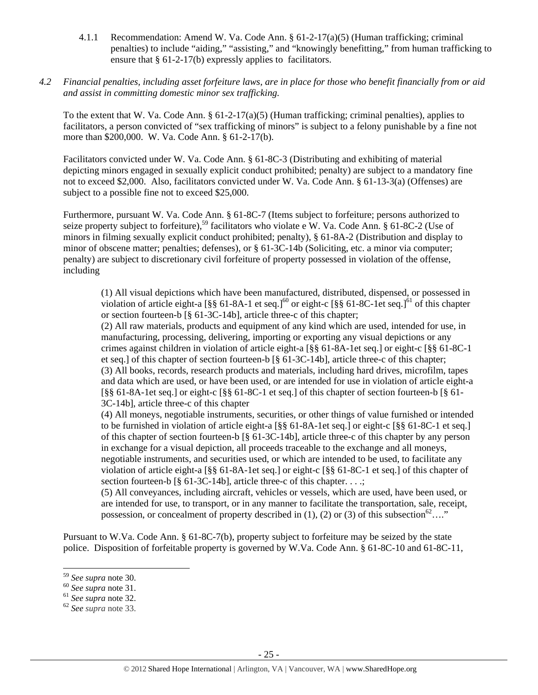4.1.1 Recommendation: Amend W. Va. Code Ann. § 61-2-17(a)(5) (Human trafficking; criminal penalties) to include "aiding," "assisting," and "knowingly benefitting," from human trafficking to ensure that § 61-2-17(b) expressly applies to facilitators.

## *4.2 Financial penalties, including asset forfeiture laws, are in place for those who benefit financially from or aid and assist in committing domestic minor sex trafficking.*

To the extent that W. Va. Code Ann. § 61-2-17(a)(5) (Human trafficking; criminal penalties), applies to facilitators, a person convicted of "sex trafficking of minors" is subject to a felony punishable by a fine not more than \$200,000. W. Va. Code Ann. § 61-2-17(b).

Facilitators convicted under W. Va. Code Ann. § 61-8C-3 (Distributing and exhibiting of material depicting minors engaged in sexually explicit conduct prohibited; penalty) are subject to a mandatory fine not to exceed \$2,000. Also, facilitators convicted under W. Va. Code Ann. § 61-13-3(a) (Offenses) are subject to a possible fine not to exceed \$25,000.

Furthermore, pursuant W. Va. Code Ann. § 61-8C-7 (Items subject to forfeiture; persons authorized to seize property subject to forfeiture),<sup>59</sup> facilitators who violate e W. Va. Code Ann. § 61-8C-2 (Use of minors in filming sexually explicit conduct prohibited; penalty), § 61-8A-2 (Distribution and display to minor of obscene matter; penalties; defenses), or § 61-3C-14b (Soliciting, etc. a minor via computer; penalty) are subject to discretionary civil forfeiture of property possessed in violation of the offense, including

(1) All visual depictions which have been manufactured, distributed, dispensed, or possessed in violation of article eight-a  $\left[\frac{88}{3661-8A-1}\right]$  et seq.]<sup>60</sup> or eight-c  $\left[\frac{88}{3661-8C-1}\right]$  et seq.]<sup>61</sup> of this chapter or section fourteen-b [§ 61-3C-14b], article three-c of this chapter;

(2) All raw materials, products and equipment of any kind which are used, intended for use, in manufacturing, processing, delivering, importing or exporting any visual depictions or any crimes against children in violation of article eight-a [§§ 61-8A-1et seq.] or eight-c [§§ 61-8C-1 et seq.] of this chapter of section fourteen-b [§ 61-3C-14b], article three-c of this chapter; (3) All books, records, research products and materials, including hard drives, microfilm, tapes and data which are used, or have been used, or are intended for use in violation of article eight-a [§§ 61-8A-1et seq.] or eight-c [§§ 61-8C-1 et seq.] of this chapter of section fourteen-b [§ 61- 3C-14b], article three-c of this chapter

(4) All moneys, negotiable instruments, securities, or other things of value furnished or intended to be furnished in violation of article eight-a [§§ 61-8A-1et seq.] or eight-c [§§ 61-8C-1 et seq.] of this chapter of section fourteen-b [§ 61-3C-14b], article three-c of this chapter by any person in exchange for a visual depiction, all proceeds traceable to the exchange and all moneys, negotiable instruments, and securities used, or which are intended to be used, to facilitate any violation of article eight-a [§§ 61-8A-1et seq.] or eight-c [§§ 61-8C-1 et seq.] of this chapter of section fourteen-b [§ 61-3C-14b], article three-c of this chapter. . . .;

(5) All conveyances, including aircraft, vehicles or vessels, which are used, have been used, or are intended for use, to transport, or in any manner to facilitate the transportation, sale, receipt, possession, or concealment of property described in (1), (2) or (3) of this subsection<sup>62</sup>…."

Pursuant to W.Va. Code Ann. § 61-8C-7(b), property subject to forfeiture may be seized by the state police. Disposition of forfeitable property is governed by W.Va. Code Ann. § 61-8C-10 and 61-8C-11,

<sup>59</sup> *See supra* note 30. 60 *See supra* note 31. 61 *See supra* note 32. 62 *See supra* note 33.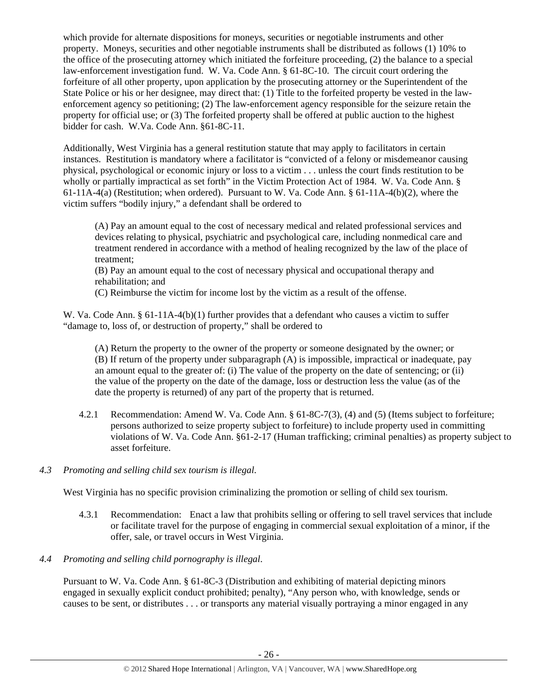which provide for alternate dispositions for moneys, securities or negotiable instruments and other property. Moneys, securities and other negotiable instruments shall be distributed as follows (1) 10% to the office of the prosecuting attorney which initiated the forfeiture proceeding, (2) the balance to a special law-enforcement investigation fund. W. Va. Code Ann. § 61-8C-10. The circuit court ordering the forfeiture of all other property, upon application by the prosecuting attorney or the Superintendent of the State Police or his or her designee, may direct that: (1) Title to the forfeited property be vested in the lawenforcement agency so petitioning; (2) The law-enforcement agency responsible for the seizure retain the property for official use; or (3) The forfeited property shall be offered at public auction to the highest bidder for cash. W.Va. Code Ann. §61-8C-11.

Additionally, West Virginia has a general restitution statute that may apply to facilitators in certain instances. Restitution is mandatory where a facilitator is "convicted of a felony or misdemeanor causing physical, psychological or economic injury or loss to a victim . . . unless the court finds restitution to be wholly or partially impractical as set forth" in the Victim Protection Act of 1984. W. Va. Code Ann. § 61-11A-4(a) (Restitution; when ordered). Pursuant to W. Va. Code Ann. § 61-11A-4(b)(2), where the victim suffers "bodily injury," a defendant shall be ordered to

(A) Pay an amount equal to the cost of necessary medical and related professional services and devices relating to physical, psychiatric and psychological care, including nonmedical care and treatment rendered in accordance with a method of healing recognized by the law of the place of treatment;

(B) Pay an amount equal to the cost of necessary physical and occupational therapy and rehabilitation; and

(C) Reimburse the victim for income lost by the victim as a result of the offense.

W. Va. Code Ann. § 61-11A-4(b)(1) further provides that a defendant who causes a victim to suffer "damage to, loss of, or destruction of property," shall be ordered to

(A) Return the property to the owner of the property or someone designated by the owner; or (B) If return of the property under subparagraph (A) is impossible, impractical or inadequate, pay an amount equal to the greater of: (i) The value of the property on the date of sentencing; or (ii) the value of the property on the date of the damage, loss or destruction less the value (as of the date the property is returned) of any part of the property that is returned.

4.2.1 Recommendation: Amend W. Va. Code Ann. § 61-8C-7(3), (4) and (5) (Items subject to forfeiture; persons authorized to seize property subject to forfeiture) to include property used in committing violations of W. Va. Code Ann. §61-2-17 (Human trafficking; criminal penalties) as property subject to asset forfeiture.

# *4.3 Promoting and selling child sex tourism is illegal*.

West Virginia has no specific provision criminalizing the promotion or selling of child sex tourism.

- 4.3.1 Recommendation: Enact a law that prohibits selling or offering to sell travel services that include or facilitate travel for the purpose of engaging in commercial sexual exploitation of a minor, if the offer, sale, or travel occurs in West Virginia.
- *4.4 Promoting and selling child pornography is illegal*.

Pursuant to W. Va. Code Ann. § 61-8C-3 (Distribution and exhibiting of material depicting minors engaged in sexually explicit conduct prohibited; penalty), "Any person who, with knowledge, sends or causes to be sent, or distributes . . . or transports any material visually portraying a minor engaged in any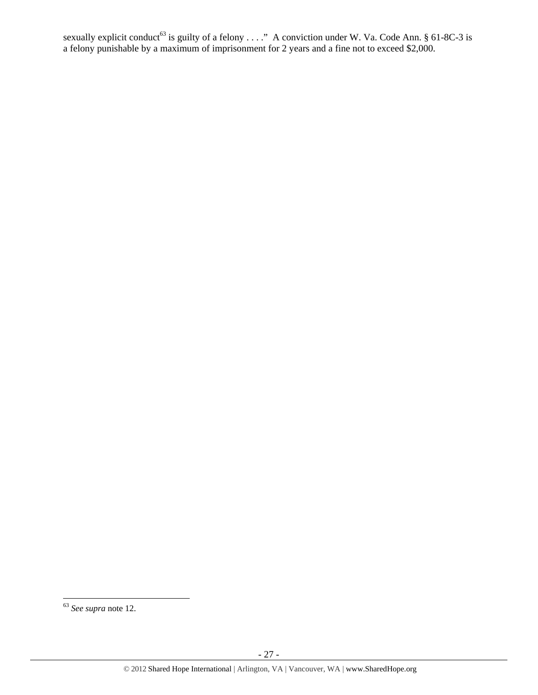sexually explicit conduct<sup>63</sup> is guilty of a felony  $\dots$ ." A conviction under W. Va. Code Ann. § 61-8C-3 is a felony punishable by a maximum of imprisonment for 2 years and a fine not to exceed \$2,000.

<sup>63</sup> *See supra* note 12.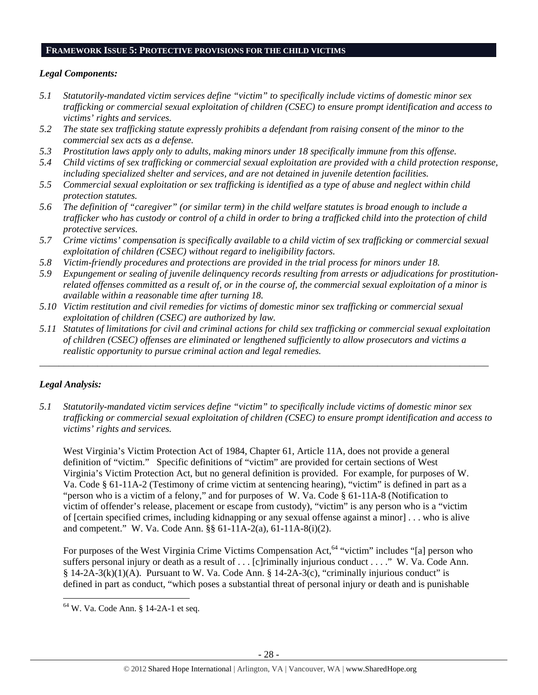#### **FRAMEWORK ISSUE 5: PROTECTIVE PROVISIONS FOR THE CHILD VICTIMS**

#### *Legal Components:*

- *5.1 Statutorily-mandated victim services define "victim" to specifically include victims of domestic minor sex trafficking or commercial sexual exploitation of children (CSEC) to ensure prompt identification and access to victims' rights and services.*
- *5.2 The state sex trafficking statute expressly prohibits a defendant from raising consent of the minor to the commercial sex acts as a defense.*
- *5.3 Prostitution laws apply only to adults, making minors under 18 specifically immune from this offense.*
- *5.4 Child victims of sex trafficking or commercial sexual exploitation are provided with a child protection response, including specialized shelter and services, and are not detained in juvenile detention facilities.*
- *5.5 Commercial sexual exploitation or sex trafficking is identified as a type of abuse and neglect within child protection statutes.*
- *5.6 The definition of "caregiver" (or similar term) in the child welfare statutes is broad enough to include a trafficker who has custody or control of a child in order to bring a trafficked child into the protection of child protective services.*
- *5.7 Crime victims' compensation is specifically available to a child victim of sex trafficking or commercial sexual exploitation of children (CSEC) without regard to ineligibility factors.*
- *5.8 Victim-friendly procedures and protections are provided in the trial process for minors under 18.*
- *5.9 Expungement or sealing of juvenile delinquency records resulting from arrests or adjudications for prostitutionrelated offenses committed as a result of, or in the course of, the commercial sexual exploitation of a minor is available within a reasonable time after turning 18.*
- *5.10 Victim restitution and civil remedies for victims of domestic minor sex trafficking or commercial sexual exploitation of children (CSEC) are authorized by law.*
- *5.11 Statutes of limitations for civil and criminal actions for child sex trafficking or commercial sexual exploitation of children (CSEC) offenses are eliminated or lengthened sufficiently to allow prosecutors and victims a realistic opportunity to pursue criminal action and legal remedies.*

*\_\_\_\_\_\_\_\_\_\_\_\_\_\_\_\_\_\_\_\_\_\_\_\_\_\_\_\_\_\_\_\_\_\_\_\_\_\_\_\_\_\_\_\_\_\_\_\_\_\_\_\_\_\_\_\_\_\_\_\_\_\_\_\_\_\_\_\_\_\_\_\_\_\_\_\_\_\_\_\_\_\_\_\_\_\_\_\_\_\_\_\_\_* 

# *Legal Analysis:*

*5.1 Statutorily-mandated victim services define "victim" to specifically include victims of domestic minor sex trafficking or commercial sexual exploitation of children (CSEC) to ensure prompt identification and access to victims' rights and services.* 

West Virginia's Victim Protection Act of 1984, Chapter 61, Article 11A, does not provide a general definition of "victim." Specific definitions of "victim" are provided for certain sections of West Virginia's Victim Protection Act, but no general definition is provided. For example, for purposes of W. Va. Code § 61-11A-2 (Testimony of crime victim at sentencing hearing), "victim" is defined in part as a "person who is a victim of a felony," and for purposes of W. Va. Code § 61-11A-8 (Notification to victim of offender's release, placement or escape from custody), "victim" is any person who is a "victim of [certain specified crimes, including kidnapping or any sexual offense against a minor] . . . who is alive and competent." W. Va. Code Ann. §§ 61-11A-2(a), 61-11A-8(i)(2).

For purposes of the West Virginia Crime Victims Compensation Act,<sup>64</sup> "victim" includes "[a] person who suffers personal injury or death as a result of . . . [c]riminally injurious conduct . . . ." W. Va. Code Ann. §  $14-2A-3(k)(1)(A)$ . Pursuant to W. Va. Code Ann. §  $14-2A-3(c)$ , "criminally injurious conduct" is defined in part as conduct, "which poses a substantial threat of personal injury or death and is punishable

 64 W. Va. Code Ann. § 14-2A-1 et seq.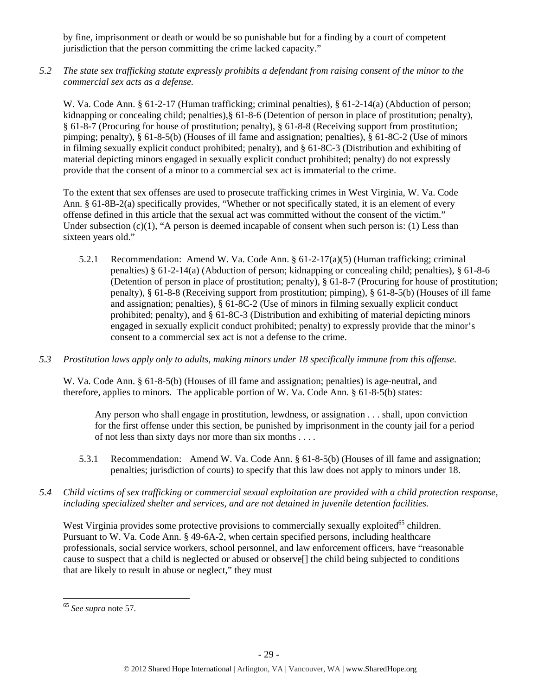by fine, imprisonment or death or would be so punishable but for a finding by a court of competent jurisdiction that the person committing the crime lacked capacity."

*5.2 The state sex trafficking statute expressly prohibits a defendant from raising consent of the minor to the commercial sex acts as a defense.* 

W. Va. Code Ann. § 61-2-17 (Human trafficking; criminal penalties), § 61-2-14(a) (Abduction of person; kidnapping or concealing child; penalties),§ 61-8-6 (Detention of person in place of prostitution; penalty), § 61-8-7 (Procuring for house of prostitution; penalty), § 61-8-8 (Receiving support from prostitution; pimping; penalty), § 61-8-5(b) (Houses of ill fame and assignation; penalties), § 61-8C-2 (Use of minors in filming sexually explicit conduct prohibited; penalty), and § 61-8C-3 (Distribution and exhibiting of material depicting minors engaged in sexually explicit conduct prohibited; penalty) do not expressly provide that the consent of a minor to a commercial sex act is immaterial to the crime.

To the extent that sex offenses are used to prosecute trafficking crimes in West Virginia, W. Va. Code Ann. § 61-8B-2(a) specifically provides, "Whether or not specifically stated, it is an element of every offense defined in this article that the sexual act was committed without the consent of the victim." Under subsection  $(c)(1)$ , "A person is deemed incapable of consent when such person is: (1) Less than sixteen years old."

- 5.2.1 Recommendation: Amend W. Va. Code Ann. § 61-2-17(a)(5) (Human trafficking; criminal penalties) § 61-2-14(a) (Abduction of person; kidnapping or concealing child; penalties), § 61-8-6 (Detention of person in place of prostitution; penalty), § 61-8-7 (Procuring for house of prostitution; penalty), § 61-8-8 (Receiving support from prostitution; pimping), § 61-8-5(b) (Houses of ill fame and assignation; penalties), § 61-8C-2 (Use of minors in filming sexually explicit conduct prohibited; penalty), and § 61-8C-3 (Distribution and exhibiting of material depicting minors engaged in sexually explicit conduct prohibited; penalty) to expressly provide that the minor's consent to a commercial sex act is not a defense to the crime.
- *5.3 Prostitution laws apply only to adults, making minors under 18 specifically immune from this offense.*

W. Va. Code Ann. § 61-8-5(b) (Houses of ill fame and assignation; penalties) is age-neutral, and therefore, applies to minors. The applicable portion of W. Va. Code Ann. § 61-8-5(b) states:

Any person who shall engage in prostitution, lewdness, or assignation . . . shall, upon conviction for the first offense under this section, be punished by imprisonment in the county jail for a period of not less than sixty days nor more than six months . . . .

- 5.3.1 Recommendation: Amend W. Va. Code Ann. § 61-8-5(b) (Houses of ill fame and assignation; penalties; jurisdiction of courts) to specify that this law does not apply to minors under 18.
- *5.4 Child victims of sex trafficking or commercial sexual exploitation are provided with a child protection response, including specialized shelter and services, and are not detained in juvenile detention facilities.*

West Virginia provides some protective provisions to commercially sexually exploited<sup>65</sup> children. Pursuant to W. Va. Code Ann. § 49-6A-2, when certain specified persons, including healthcare professionals, social service workers, school personnel, and law enforcement officers, have "reasonable cause to suspect that a child is neglected or abused or observe[] the child being subjected to conditions that are likely to result in abuse or neglect," they must

<sup>65</sup> *See supra* note 57.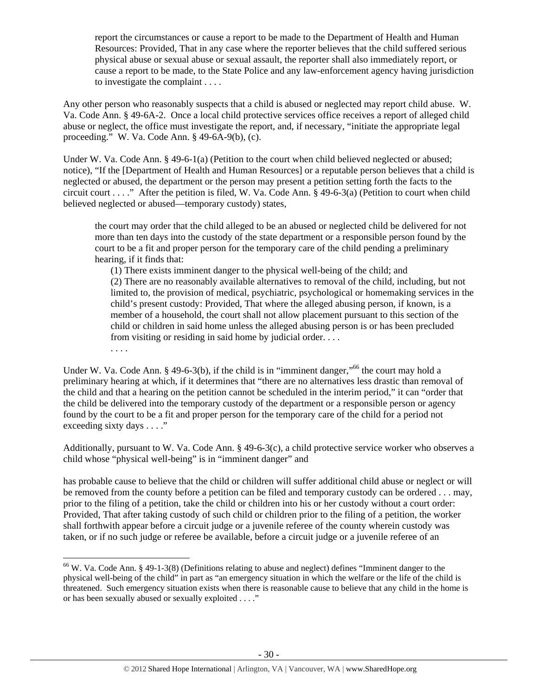report the circumstances or cause a report to be made to the Department of Health and Human Resources: Provided, That in any case where the reporter believes that the child suffered serious physical abuse or sexual abuse or sexual assault, the reporter shall also immediately report, or cause a report to be made, to the State Police and any law-enforcement agency having jurisdiction to investigate the complaint . . . .

Any other person who reasonably suspects that a child is abused or neglected may report child abuse. W. Va. Code Ann. § 49-6A-2. Once a local child protective services office receives a report of alleged child abuse or neglect, the office must investigate the report, and, if necessary, "initiate the appropriate legal proceeding." W. Va. Code Ann. § 49-6A-9(b), (c).

Under W. Va. Code Ann. § 49-6-1(a) (Petition to the court when child believed neglected or abused; notice), "If the [Department of Health and Human Resources] or a reputable person believes that a child is neglected or abused, the department or the person may present a petition setting forth the facts to the circuit court . . . ." After the petition is filed, W. Va. Code Ann. § 49-6-3(a) (Petition to court when child believed neglected or abused—temporary custody) states,

the court may order that the child alleged to be an abused or neglected child be delivered for not more than ten days into the custody of the state department or a responsible person found by the court to be a fit and proper person for the temporary care of the child pending a preliminary hearing, if it finds that:

(1) There exists imminent danger to the physical well-being of the child; and (2) There are no reasonably available alternatives to removal of the child, including, but not limited to, the provision of medical, psychiatric, psychological or homemaking services in the child's present custody: Provided, That where the alleged abusing person, if known, is a member of a household, the court shall not allow placement pursuant to this section of the child or children in said home unless the alleged abusing person is or has been precluded from visiting or residing in said home by judicial order. . . .

. . . .

Under W. Va. Code Ann. § 49-6-3(b), if the child is in "imminent danger,"<sup>66</sup> the court may hold a preliminary hearing at which, if it determines that "there are no alternatives less drastic than removal of the child and that a hearing on the petition cannot be scheduled in the interim period," it can "order that the child be delivered into the temporary custody of the department or a responsible person or agency found by the court to be a fit and proper person for the temporary care of the child for a period not exceeding sixty days . . . ."

Additionally, pursuant to W. Va. Code Ann. § 49-6-3(c), a child protective service worker who observes a child whose "physical well-being" is in "imminent danger" and

has probable cause to believe that the child or children will suffer additional child abuse or neglect or will be removed from the county before a petition can be filed and temporary custody can be ordered . . . may, prior to the filing of a petition, take the child or children into his or her custody without a court order: Provided, That after taking custody of such child or children prior to the filing of a petition, the worker shall forthwith appear before a circuit judge or a juvenile referee of the county wherein custody was taken, or if no such judge or referee be available, before a circuit judge or a juvenile referee of an

 $66$  W. Va. Code Ann. § 49-1-3(8) (Definitions relating to abuse and neglect) defines "Imminent danger to the physical well-being of the child" in part as "an emergency situation in which the welfare or the life of the child is threatened. Such emergency situation exists when there is reasonable cause to believe that any child in the home is or has been sexually abused or sexually exploited . . . ."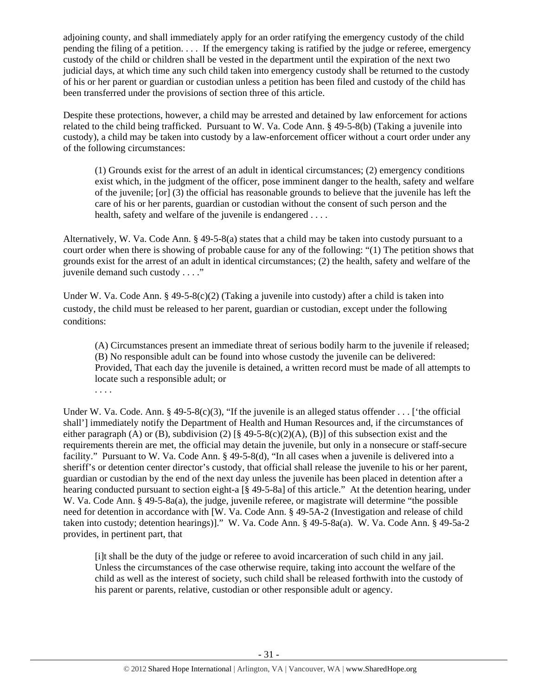adjoining county, and shall immediately apply for an order ratifying the emergency custody of the child pending the filing of a petition. . . . If the emergency taking is ratified by the judge or referee, emergency custody of the child or children shall be vested in the department until the expiration of the next two judicial days, at which time any such child taken into emergency custody shall be returned to the custody of his or her parent or guardian or custodian unless a petition has been filed and custody of the child has been transferred under the provisions of section three of this article.

Despite these protections, however, a child may be arrested and detained by law enforcement for actions related to the child being trafficked. Pursuant to W. Va. Code Ann. § 49-5-8(b) (Taking a juvenile into custody), a child may be taken into custody by a law-enforcement officer without a court order under any of the following circumstances:

(1) Grounds exist for the arrest of an adult in identical circumstances; (2) emergency conditions exist which, in the judgment of the officer, pose imminent danger to the health, safety and welfare of the juvenile; [or] (3) the official has reasonable grounds to believe that the juvenile has left the care of his or her parents, guardian or custodian without the consent of such person and the health, safety and welfare of the juvenile is endangered ....

Alternatively, W. Va. Code Ann. § 49-5-8(a) states that a child may be taken into custody pursuant to a court order when there is showing of probable cause for any of the following: "(1) The petition shows that grounds exist for the arrest of an adult in identical circumstances; (2) the health, safety and welfare of the juvenile demand such custody . . . ."

Under W. Va. Code Ann. § 49-5-8(c)(2) (Taking a juvenile into custody) after a child is taken into custody, the child must be released to her parent, guardian or custodian, except under the following conditions:

(A) Circumstances present an immediate threat of serious bodily harm to the juvenile if released; (B) No responsible adult can be found into whose custody the juvenile can be delivered: Provided, That each day the juvenile is detained, a written record must be made of all attempts to locate such a responsible adult; or

. . . .

Under W. Va. Code. Ann. §  $49-5-8(c)(3)$ , "If the juvenile is an alleged status offender . . . ['the official shall'] immediately notify the Department of Health and Human Resources and, if the circumstances of either paragraph (A) or (B), subdivision (2)  $[\frac{8}{9}49-5-8(c)(2)(A), (B)]$  of this subsection exist and the requirements therein are met, the official may detain the juvenile, but only in a nonsecure or staff-secure facility." Pursuant to W. Va. Code Ann. § 49-5-8(d), "In all cases when a juvenile is delivered into a sheriff's or detention center director's custody, that official shall release the juvenile to his or her parent, guardian or custodian by the end of the next day unless the juvenile has been placed in detention after a hearing conducted pursuant to section eight-a [§ 49-5-8a] of this article." At the detention hearing, under W. Va. Code Ann. § 49-5-8a(a), the judge, juvenile referee, or magistrate will determine "the possible need for detention in accordance with [W. Va. Code Ann. § 49-5A-2 (Investigation and release of child taken into custody; detention hearings)]." W. Va. Code Ann. § 49-5-8a(a). W. Va. Code Ann. § 49-5a-2 provides, in pertinent part, that

[i]t shall be the duty of the judge or referee to avoid incarceration of such child in any jail. Unless the circumstances of the case otherwise require, taking into account the welfare of the child as well as the interest of society, such child shall be released forthwith into the custody of his parent or parents, relative, custodian or other responsible adult or agency.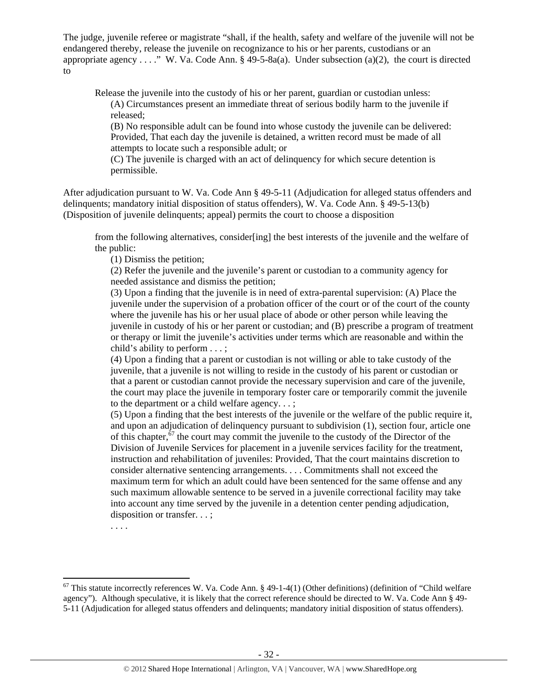The judge, juvenile referee or magistrate "shall, if the health, safety and welfare of the juvenile will not be endangered thereby, release the juvenile on recognizance to his or her parents, custodians or an appropriate agency . . . ." W. Va. Code Ann. § 49-5-8a(a). Under subsection (a)(2), the court is directed to

Release the juvenile into the custody of his or her parent, guardian or custodian unless: (A) Circumstances present an immediate threat of serious bodily harm to the juvenile if released;

(B) No responsible adult can be found into whose custody the juvenile can be delivered: Provided, That each day the juvenile is detained, a written record must be made of all attempts to locate such a responsible adult; or

(C) The juvenile is charged with an act of delinquency for which secure detention is permissible.

After adjudication pursuant to W. Va. Code Ann § 49-5-11 (Adjudication for alleged status offenders and delinquents; mandatory initial disposition of status offenders), W. Va. Code Ann. § 49-5-13(b) (Disposition of juvenile delinquents; appeal) permits the court to choose a disposition

from the following alternatives, consider[ing] the best interests of the juvenile and the welfare of the public:

(1) Dismiss the petition;

(2) Refer the juvenile and the juvenile's parent or custodian to a community agency for needed assistance and dismiss the petition;

(3) Upon a finding that the juvenile is in need of extra-parental supervision: (A) Place the juvenile under the supervision of a probation officer of the court or of the court of the county where the juvenile has his or her usual place of abode or other person while leaving the juvenile in custody of his or her parent or custodian; and (B) prescribe a program of treatment or therapy or limit the juvenile's activities under terms which are reasonable and within the child's ability to perform . . . ;

(4) Upon a finding that a parent or custodian is not willing or able to take custody of the juvenile, that a juvenile is not willing to reside in the custody of his parent or custodian or that a parent or custodian cannot provide the necessary supervision and care of the juvenile, the court may place the juvenile in temporary foster care or temporarily commit the juvenile to the department or a child welfare agency. . . ;

(5) Upon a finding that the best interests of the juvenile or the welfare of the public require it, and upon an adjudication of delinquency pursuant to subdivision (1), section four, article one of this chapter,<sup>67</sup> the court may commit the juvenile to the custody of the Director of the Division of Juvenile Services for placement in a juvenile services facility for the treatment, instruction and rehabilitation of juveniles: Provided, That the court maintains discretion to consider alternative sentencing arrangements. . . . Commitments shall not exceed the maximum term for which an adult could have been sentenced for the same offense and any such maximum allowable sentence to be served in a juvenile correctional facility may take into account any time served by the juvenile in a detention center pending adjudication, disposition or transfer. . . ;

. . . .

 $67$  This statute incorrectly references W. Va. Code Ann. § 49-1-4(1) (Other definitions) (definition of "Child welfare agency"). Although speculative, it is likely that the correct reference should be directed to W. Va. Code Ann § 49- 5-11 (Adjudication for alleged status offenders and delinquents; mandatory initial disposition of status offenders).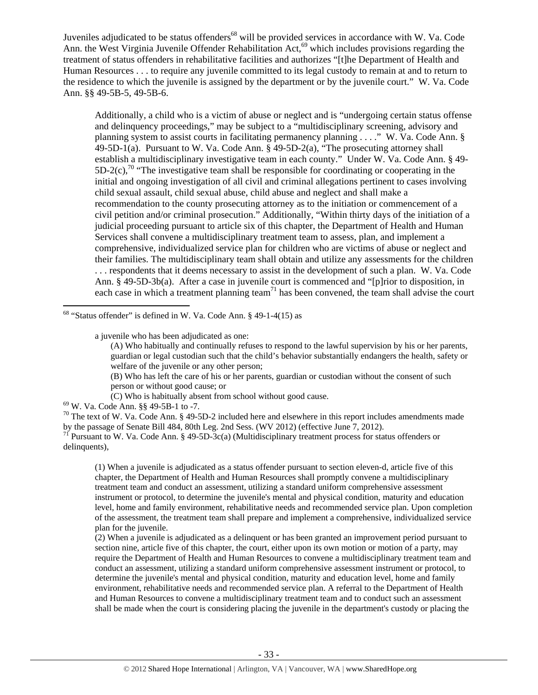Juveniles adjudicated to be status offenders<sup>68</sup> will be provided services in accordance with W. Va. Code Ann. the West Virginia Juvenile Offender Rehabilitation Act,<sup>69</sup> which includes provisions regarding the treatment of status offenders in rehabilitative facilities and authorizes "[t]he Department of Health and Human Resources . . . to require any juvenile committed to its legal custody to remain at and to return to the residence to which the juvenile is assigned by the department or by the juvenile court." W. Va. Code Ann. §§ 49-5B-5, 49-5B-6.

Additionally, a child who is a victim of abuse or neglect and is "undergoing certain status offense and delinquency proceedings," may be subject to a "multidisciplinary screening, advisory and planning system to assist courts in facilitating permanency planning . . . ." W. Va. Code Ann. §  $49-5D-1(a)$ . Pursuant to W. Va. Code Ann. §  $49-5D-2(a)$ , "The prosecuting attorney shall establish a multidisciplinary investigative team in each county." Under W. Va. Code Ann. § 49-  $5D-2(c)$ ,<sup>70</sup> "The investigative team shall be responsible for coordinating or cooperating in the initial and ongoing investigation of all civil and criminal allegations pertinent to cases involving child sexual assault, child sexual abuse, child abuse and neglect and shall make a recommendation to the county prosecuting attorney as to the initiation or commencement of a civil petition and/or criminal prosecution." Additionally, "Within thirty days of the initiation of a judicial proceeding pursuant to article six of this chapter, the Department of Health and Human Services shall convene a multidisciplinary treatment team to assess, plan, and implement a comprehensive, individualized service plan for children who are victims of abuse or neglect and their families. The multidisciplinary team shall obtain and utilize any assessments for the children . . . respondents that it deems necessary to assist in the development of such a plan. W. Va. Code Ann. § 49-5D-3b(a). After a case in juvenile court is commenced and "[p]rior to disposition, in each case in which a treatment planning team<sup>71</sup> has been convened, the team shall advise the court

 $68$  "Status offender" is defined in W. Va. Code Ann. § 49-1-4(15) as

a juvenile who has been adjudicated as one:

(B) Who has left the care of his or her parents, guardian or custodian without the consent of such person or without good cause; or

(C) Who is habitually absent from school without good cause. <sup>69</sup> W. Va. Code Ann. §§ 49-5B-1 to -7.

<sup>70</sup> The text of W. Va. Code Ann. § 49-5D-2 included here and elsewhere in this report includes amendments made by the passage of Senate Bill 484, 80th Leg. 2nd Sess. (WV 2012) (effective June 7, 2012).<br><sup>71</sup> Pursuant to W. Va. Code Ann. § 49-5D-3c(a) (Multidisciplinary treatment process for status offenders or

delinquents),

(1) When a juvenile is adjudicated as a status offender pursuant to section eleven-d, article five of this chapter, the Department of Health and Human Resources shall promptly convene a multidisciplinary treatment team and conduct an assessment, utilizing a standard uniform comprehensive assessment instrument or protocol, to determine the juvenile's mental and physical condition, maturity and education level, home and family environment, rehabilitative needs and recommended service plan. Upon completion of the assessment, the treatment team shall prepare and implement a comprehensive, individualized service plan for the juvenile.

(2) When a juvenile is adjudicated as a delinquent or has been granted an improvement period pursuant to section nine, article five of this chapter, the court, either upon its own motion or motion of a party, may require the Department of Health and Human Resources to convene a multidisciplinary treatment team and conduct an assessment, utilizing a standard uniform comprehensive assessment instrument or protocol, to determine the juvenile's mental and physical condition, maturity and education level, home and family environment, rehabilitative needs and recommended service plan. A referral to the Department of Health and Human Resources to convene a multidisciplinary treatment team and to conduct such an assessment shall be made when the court is considering placing the juvenile in the department's custody or placing the

<sup>(</sup>A) Who habitually and continually refuses to respond to the lawful supervision by his or her parents, guardian or legal custodian such that the child's behavior substantially endangers the health, safety or welfare of the juvenile or any other person;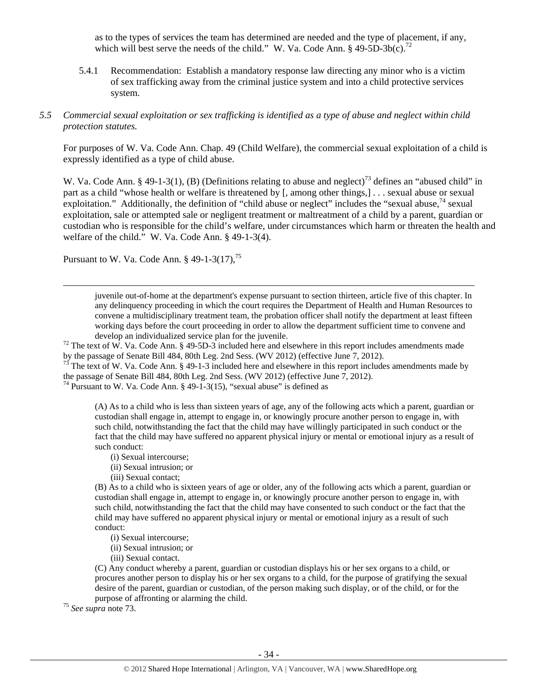as to the types of services the team has determined are needed and the type of placement, if any, which will best serve the needs of the child." W. Va. Code Ann. §  $49-5D-3b(c)$ .<sup>72</sup>

5.4.1 Recommendation: Establish a mandatory response law directing any minor who is a victim of sex trafficking away from the criminal justice system and into a child protective services system.

#### *5.5 Commercial sexual exploitation or sex trafficking is identified as a type of abuse and neglect within child protection statutes.*

For purposes of W. Va. Code Ann. Chap. 49 (Child Welfare), the commercial sexual exploitation of a child is expressly identified as a type of child abuse.

W. Va. Code Ann. § 49-1-3(1), (B) (Definitions relating to abuse and neglect)<sup>73</sup> defines an "abused child" in part as a child "whose health or welfare is threatened by [, among other things,] . . . sexual abuse or sexual exploitation." Additionally, the definition of "child abuse or neglect" includes the "sexual abuse, $74$  sexual exploitation, sale or attempted sale or negligent treatment or maltreatment of a child by a parent, guardian or custodian who is responsible for the child's welfare, under circumstances which harm or threaten the health and welfare of the child." W. Va. Code Ann. § 49-1-3(4).

Pursuant to W. Va. Code Ann.  $\S$  49-1-3(17),<sup>75</sup>

juvenile out-of-home at the department's expense pursuant to section thirteen, article five of this chapter. In any delinquency proceeding in which the court requires the Department of Health and Human Resources to convene a multidisciplinary treatment team, the probation officer shall notify the department at least fifteen working days before the court proceeding in order to allow the department sufficient time to convene and develop an individualized service plan for the juvenile.<br><sup>72</sup> The text of W. Va. Code Ann. § 49-5D-3 included here and elsewhere in this report includes amendments made

by the passage of Senate Bill 484, 80th Leg. 2nd Sess. (WV 2012) (effective June 7, 2012).<br><sup>73</sup> The text of W. Va. Code Ann. § 49-1-3 included here and elsewhere in this report includes amendments made by

<u> Andrewski politika (za obrazu pod predsjednika u predsjednika u predsjednika u predsjednika (za obrazu pod p</u>

the passage of Senate Bill 484, 80th Leg. 2nd Sess. (WV 2012) (effective June  $\overline{7}$ , 2012). <sup>74</sup> Pursuant to W. Va. Code Ann. § 49-1-3(15), "sexual abuse" is defined as

(A) As to a child who is less than sixteen years of age, any of the following acts which a parent, guardian or custodian shall engage in, attempt to engage in, or knowingly procure another person to engage in, with such child, notwithstanding the fact that the child may have willingly participated in such conduct or the fact that the child may have suffered no apparent physical injury or mental or emotional injury as a result of such conduct:

- (i) Sexual intercourse;
- (ii) Sexual intrusion; or
- (iii) Sexual contact;

(B) As to a child who is sixteen years of age or older, any of the following acts which a parent, guardian or custodian shall engage in, attempt to engage in, or knowingly procure another person to engage in, with such child, notwithstanding the fact that the child may have consented to such conduct or the fact that the child may have suffered no apparent physical injury or mental or emotional injury as a result of such conduct:

- (i) Sexual intercourse;
- (ii) Sexual intrusion; or
- (iii) Sexual contact.

(C) Any conduct whereby a parent, guardian or custodian displays his or her sex organs to a child, or procures another person to display his or her sex organs to a child, for the purpose of gratifying the sexual desire of the parent, guardian or custodian, of the person making such display, or of the child, or for the purpose of affronting or alarming the child. 75 *See supra* note 73.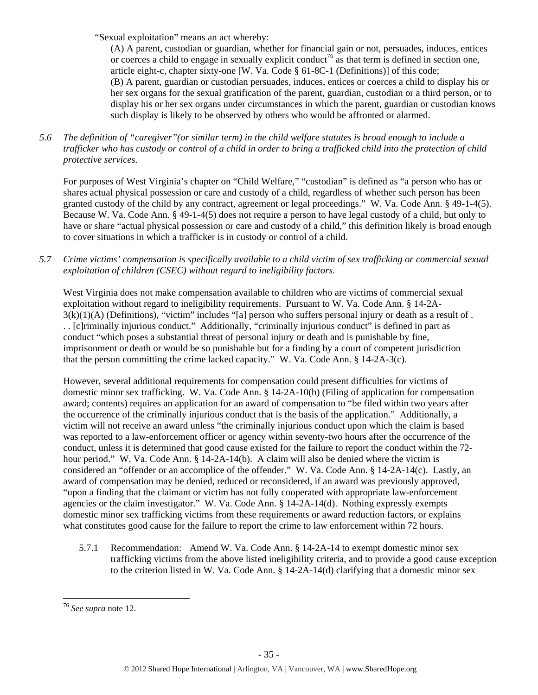"Sexual exploitation" means an act whereby:

(A) A parent, custodian or guardian, whether for financial gain or not, persuades, induces, entices or coerces a child to engage in sexually explicit conduct<sup>76</sup> as that term is defined in section one, article eight-c, chapter sixty-one [W. Va. Code § 61-8C-1 (Definitions)] of this code; (B) A parent, guardian or custodian persuades, induces, entices or coerces a child to display his or her sex organs for the sexual gratification of the parent, guardian, custodian or a third person, or to display his or her sex organs under circumstances in which the parent, guardian or custodian knows such display is likely to be observed by others who would be affronted or alarmed.

*5.6 The definition of "caregiver"(or similar term) in the child welfare statutes is broad enough to include a trafficker who has custody or control of a child in order to bring a trafficked child into the protection of child protective services.* 

For purposes of West Virginia's chapter on "Child Welfare," "custodian" is defined as "a person who has or shares actual physical possession or care and custody of a child, regardless of whether such person has been granted custody of the child by any contract, agreement or legal proceedings." W. Va. Code Ann. § 49-1-4(5). Because W. Va. Code Ann. § 49-1-4(5) does not require a person to have legal custody of a child, but only to have or share "actual physical possession or care and custody of a child," this definition likely is broad enough to cover situations in which a trafficker is in custody or control of a child.

*5.7 Crime victims' compensation is specifically available to a child victim of sex trafficking or commercial sexual exploitation of children (CSEC) without regard to ineligibility factors.* 

West Virginia does not make compensation available to children who are victims of commercial sexual exploitation without regard to ineligibility requirements. Pursuant to W. Va. Code Ann. § 14-2A- $3(k)(1)(A)$  (Definitions), "victim" includes "[a] person who suffers personal injury or death as a result of . . . [c]riminally injurious conduct." Additionally, "criminally injurious conduct" is defined in part as conduct "which poses a substantial threat of personal injury or death and is punishable by fine, imprisonment or death or would be so punishable but for a finding by a court of competent jurisdiction that the person committing the crime lacked capacity." W. Va. Code Ann. § 14-2A-3(c).

However, several additional requirements for compensation could present difficulties for victims of domestic minor sex trafficking. W. Va. Code Ann. § 14-2A-10(b) (Filing of application for compensation award; contents) requires an application for an award of compensation to "be filed within two years after the occurrence of the criminally injurious conduct that is the basis of the application." Additionally, a victim will not receive an award unless "the criminally injurious conduct upon which the claim is based was reported to a law-enforcement officer or agency within seventy-two hours after the occurrence of the conduct, unless it is determined that good cause existed for the failure to report the conduct within the 72 hour period." W. Va. Code Ann. § 14-2A-14(b). A claim will also be denied where the victim is considered an "offender or an accomplice of the offender." W. Va. Code Ann. § 14-2A-14(c). Lastly, an award of compensation may be denied, reduced or reconsidered, if an award was previously approved, "upon a finding that the claimant or victim has not fully cooperated with appropriate law-enforcement agencies or the claim investigator." W. Va. Code Ann. § 14-2A-14(d). Nothing expressly exempts domestic minor sex trafficking victims from these requirements or award reduction factors, or explains what constitutes good cause for the failure to report the crime to law enforcement within 72 hours.

5.7.1 Recommendation: Amend W. Va. Code Ann. § 14-2A-14 to exempt domestic minor sex trafficking victims from the above listed ineligibility criteria, and to provide a good cause exception to the criterion listed in W. Va. Code Ann.  $\S 14-2A-14(d)$  clarifying that a domestic minor sex

 <sup>76</sup> *See supra* note 12.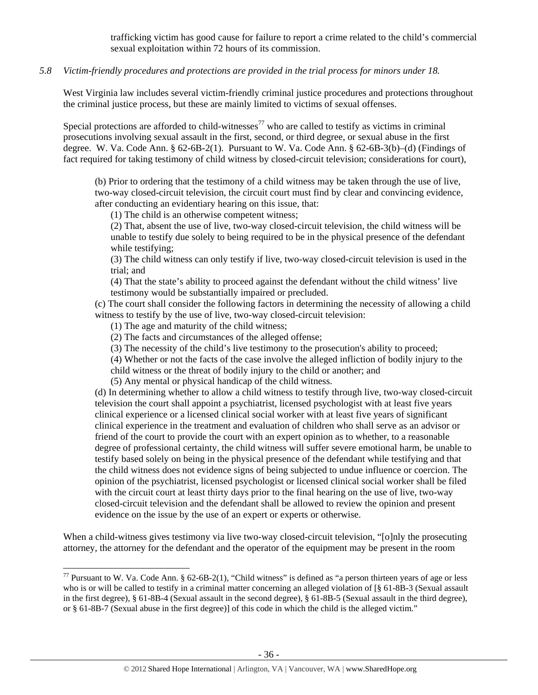trafficking victim has good cause for failure to report a crime related to the child's commercial sexual exploitation within 72 hours of its commission.

## *5.8 Victim-friendly procedures and protections are provided in the trial process for minors under 18.*

West Virginia law includes several victim-friendly criminal justice procedures and protections throughout the criminal justice process, but these are mainly limited to victims of sexual offenses.

Special protections are afforded to child-witnesses<sup>77</sup> who are called to testify as victims in criminal prosecutions involving sexual assault in the first, second, or third degree, or sexual abuse in the first degree. W. Va. Code Ann. § 62-6B-2(1). Pursuant to W. Va. Code Ann. § 62-6B-3(b)–(d) (Findings of fact required for taking testimony of child witness by closed-circuit television; considerations for court),

(b) Prior to ordering that the testimony of a child witness may be taken through the use of live, two-way closed-circuit television, the circuit court must find by clear and convincing evidence, after conducting an evidentiary hearing on this issue, that:

(1) The child is an otherwise competent witness;

(2) That, absent the use of live, two-way closed-circuit television, the child witness will be unable to testify due solely to being required to be in the physical presence of the defendant while testifying:

(3) The child witness can only testify if live, two-way closed-circuit television is used in the trial; and

(4) That the state's ability to proceed against the defendant without the child witness' live testimony would be substantially impaired or precluded.

(c) The court shall consider the following factors in determining the necessity of allowing a child witness to testify by the use of live, two-way closed-circuit television:

(1) The age and maturity of the child witness;

(2) The facts and circumstances of the alleged offense;

(3) The necessity of the child's live testimony to the prosecution's ability to proceed;

(4) Whether or not the facts of the case involve the alleged infliction of bodily injury to the

child witness or the threat of bodily injury to the child or another; and

(5) Any mental or physical handicap of the child witness.

(d) In determining whether to allow a child witness to testify through live, two-way closed-circuit television the court shall appoint a psychiatrist, licensed psychologist with at least five years clinical experience or a licensed clinical social worker with at least five years of significant clinical experience in the treatment and evaluation of children who shall serve as an advisor or friend of the court to provide the court with an expert opinion as to whether, to a reasonable degree of professional certainty, the child witness will suffer severe emotional harm, be unable to testify based solely on being in the physical presence of the defendant while testifying and that the child witness does not evidence signs of being subjected to undue influence or coercion. The opinion of the psychiatrist, licensed psychologist or licensed clinical social worker shall be filed with the circuit court at least thirty days prior to the final hearing on the use of live, two-way closed-circuit television and the defendant shall be allowed to review the opinion and present evidence on the issue by the use of an expert or experts or otherwise.

When a child-witness gives testimony via live two-way closed-circuit television, "[o]nly the prosecuting attorney, the attorney for the defendant and the operator of the equipment may be present in the room

<sup>&</sup>lt;sup>77</sup> Pursuant to W. Va. Code Ann. § 62-6B-2(1), "Child witness" is defined as "a person thirteen years of age or less who is or will be called to testify in a criminal matter concerning an alleged violation of [§ 61-8B-3 (Sexual assault in the first degree), § 61-8B-4 (Sexual assault in the second degree), § 61-8B-5 (Sexual assault in the third degree), or § 61-8B-7 (Sexual abuse in the first degree)] of this code in which the child is the alleged victim."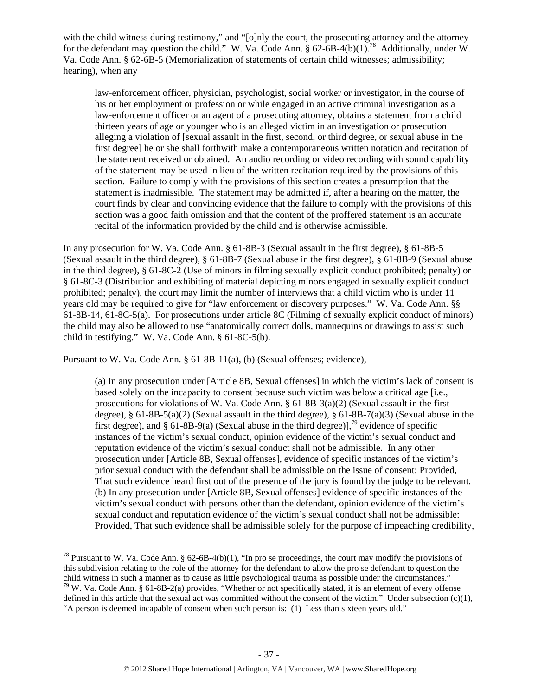with the child witness during testimony," and "[o]nly the court, the prosecuting attorney and the attorney for the defendant may question the child." W. Va. Code Ann.  $\S 62-6B-4(b)(1)$ .<sup>78</sup> Additionally, under W. Va. Code Ann. § 62-6B-5 (Memorialization of statements of certain child witnesses; admissibility; hearing), when any

law-enforcement officer, physician, psychologist, social worker or investigator, in the course of his or her employment or profession or while engaged in an active criminal investigation as a law-enforcement officer or an agent of a prosecuting attorney, obtains a statement from a child thirteen years of age or younger who is an alleged victim in an investigation or prosecution alleging a violation of [sexual assault in the first, second, or third degree, or sexual abuse in the first degree] he or she shall forthwith make a contemporaneous written notation and recitation of the statement received or obtained. An audio recording or video recording with sound capability of the statement may be used in lieu of the written recitation required by the provisions of this section. Failure to comply with the provisions of this section creates a presumption that the statement is inadmissible. The statement may be admitted if, after a hearing on the matter, the court finds by clear and convincing evidence that the failure to comply with the provisions of this section was a good faith omission and that the content of the proffered statement is an accurate recital of the information provided by the child and is otherwise admissible.

In any prosecution for W. Va. Code Ann. § 61-8B-3 (Sexual assault in the first degree), § 61-8B-5 (Sexual assault in the third degree), § 61-8B-7 (Sexual abuse in the first degree), § 61-8B-9 (Sexual abuse in the third degree), § 61-8C-2 (Use of minors in filming sexually explicit conduct prohibited; penalty) or § 61-8C-3 (Distribution and exhibiting of material depicting minors engaged in sexually explicit conduct prohibited; penalty), the court may limit the number of interviews that a child victim who is under 11 years old may be required to give for "law enforcement or discovery purposes." W. Va. Code Ann. §§ 61-8B-14, 61-8C-5(a). For prosecutions under article 8C (Filming of sexually explicit conduct of minors) the child may also be allowed to use "anatomically correct dolls, mannequins or drawings to assist such child in testifying." W. Va. Code Ann. § 61-8C-5(b).

Pursuant to W. Va. Code Ann. § 61-8B-11(a), (b) (Sexual offenses; evidence),

(a) In any prosecution under [Article 8B, Sexual offenses] in which the victim's lack of consent is based solely on the incapacity to consent because such victim was below a critical age [i.e., prosecutions for violations of W. Va. Code Ann.  $\S$  61-8B-3(a)(2) (Sexual assault in the first degree),  $\S 61-8B-5(a)(2)$  (Sexual assault in the third degree),  $\S 61-8B-7(a)(3)$  (Sexual abuse in the first degree), and § 61-8B-9(a) (Sexual abuse in the third degree)],<sup>79</sup> evidence of specific instances of the victim's sexual conduct, opinion evidence of the victim's sexual conduct and reputation evidence of the victim's sexual conduct shall not be admissible. In any other prosecution under [Article 8B, Sexual offenses], evidence of specific instances of the victim's prior sexual conduct with the defendant shall be admissible on the issue of consent: Provided, That such evidence heard first out of the presence of the jury is found by the judge to be relevant. (b) In any prosecution under [Article 8B, Sexual offenses] evidence of specific instances of the victim's sexual conduct with persons other than the defendant, opinion evidence of the victim's sexual conduct and reputation evidence of the victim's sexual conduct shall not be admissible: Provided, That such evidence shall be admissible solely for the purpose of impeaching credibility,

 <sup>78</sup> Pursuant to W. Va. Code Ann. § 62-6B-4(b)(1), "In pro se proceedings, the court may modify the provisions of this subdivision relating to the role of the attorney for the defendant to allow the pro se defendant to question the child witness in such a manner as to cause as little psychological trauma as possible under the circumstances."  $79$  W. Va. Code Ann. § 61-8B-2(a) provides, "Whether or not specifically stated, it is an element of every offense defined in this article that the sexual act was committed without the consent of the victim." Under subsection (c)(1), "A person is deemed incapable of consent when such person is: (1) Less than sixteen years old."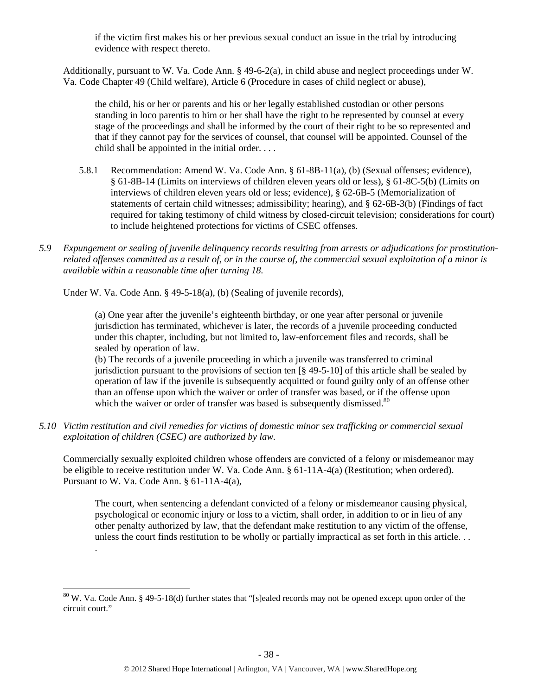if the victim first makes his or her previous sexual conduct an issue in the trial by introducing evidence with respect thereto.

Additionally, pursuant to W. Va. Code Ann. § 49-6-2(a), in child abuse and neglect proceedings under W. Va. Code Chapter 49 (Child welfare), Article 6 (Procedure in cases of child neglect or abuse),

the child, his or her or parents and his or her legally established custodian or other persons standing in loco parentis to him or her shall have the right to be represented by counsel at every stage of the proceedings and shall be informed by the court of their right to be so represented and that if they cannot pay for the services of counsel, that counsel will be appointed. Counsel of the child shall be appointed in the initial order. . . .

- 5.8.1 Recommendation: Amend W. Va. Code Ann. § 61-8B-11(a), (b) (Sexual offenses; evidence), § 61-8B-14 (Limits on interviews of children eleven years old or less), § 61-8C-5(b) (Limits on interviews of children eleven years old or less; evidence), § 62-6B-5 (Memorialization of statements of certain child witnesses; admissibility; hearing), and § 62-6B-3(b) (Findings of fact required for taking testimony of child witness by closed-circuit television; considerations for court) to include heightened protections for victims of CSEC offenses.
- *5.9 Expungement or sealing of juvenile delinquency records resulting from arrests or adjudications for prostitutionrelated offenses committed as a result of, or in the course of, the commercial sexual exploitation of a minor is available within a reasonable time after turning 18.*

Under W. Va. Code Ann. § 49-5-18(a), (b) (Sealing of juvenile records),

.

(a) One year after the juvenile's eighteenth birthday, or one year after personal or juvenile jurisdiction has terminated, whichever is later, the records of a juvenile proceeding conducted under this chapter, including, but not limited to, law-enforcement files and records, shall be sealed by operation of law.

(b) The records of a juvenile proceeding in which a juvenile was transferred to criminal jurisdiction pursuant to the provisions of section ten  $\lceil \frac{8}{49} - 5 - 10 \rceil$  of this article shall be sealed by operation of law if the juvenile is subsequently acquitted or found guilty only of an offense other than an offense upon which the waiver or order of transfer was based, or if the offense upon which the waiver or order of transfer was based is subsequently dismissed.<sup>80</sup>

*5.10 Victim restitution and civil remedies for victims of domestic minor sex trafficking or commercial sexual exploitation of children (CSEC) are authorized by law.* 

Commercially sexually exploited children whose offenders are convicted of a felony or misdemeanor may be eligible to receive restitution under W. Va. Code Ann. § 61-11A-4(a) (Restitution; when ordered). Pursuant to W. Va. Code Ann. § 61-11A-4(a),

The court, when sentencing a defendant convicted of a felony or misdemeanor causing physical, psychological or economic injury or loss to a victim, shall order, in addition to or in lieu of any other penalty authorized by law, that the defendant make restitution to any victim of the offense, unless the court finds restitution to be wholly or partially impractical as set forth in this article. . .

 $80$  W. Va. Code Ann. § 49-5-18(d) further states that "[s]ealed records may not be opened except upon order of the circuit court."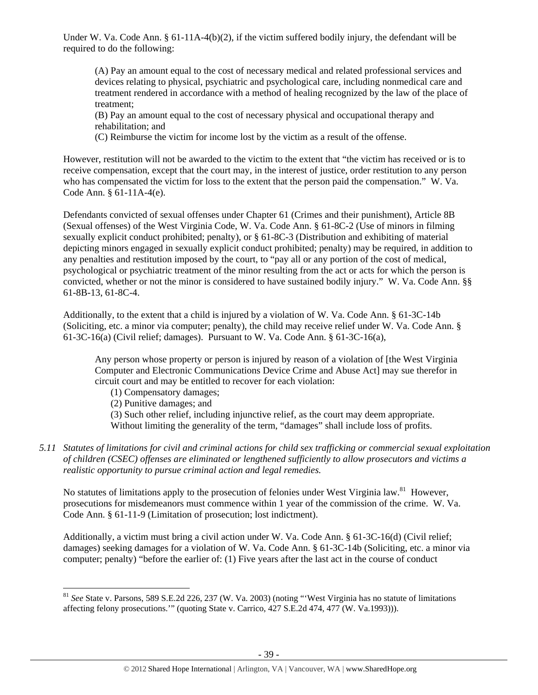Under W. Va. Code Ann. § 61-11A-4(b)(2), if the victim suffered bodily injury, the defendant will be required to do the following:

(A) Pay an amount equal to the cost of necessary medical and related professional services and devices relating to physical, psychiatric and psychological care, including nonmedical care and treatment rendered in accordance with a method of healing recognized by the law of the place of treatment;

(B) Pay an amount equal to the cost of necessary physical and occupational therapy and rehabilitation; and

(C) Reimburse the victim for income lost by the victim as a result of the offense.

However, restitution will not be awarded to the victim to the extent that "the victim has received or is to receive compensation, except that the court may, in the interest of justice, order restitution to any person who has compensated the victim for loss to the extent that the person paid the compensation." W. Va. Code Ann. § 61-11A-4(e).

Defendants convicted of sexual offenses under Chapter 61 (Crimes and their punishment), Article 8B (Sexual offenses) of the West Virginia Code, W. Va. Code Ann. § 61-8C-2 (Use of minors in filming sexually explicit conduct prohibited; penalty), or § 61-8C-3 (Distribution and exhibiting of material depicting minors engaged in sexually explicit conduct prohibited; penalty) may be required, in addition to any penalties and restitution imposed by the court, to "pay all or any portion of the cost of medical, psychological or psychiatric treatment of the minor resulting from the act or acts for which the person is convicted, whether or not the minor is considered to have sustained bodily injury." W. Va. Code Ann. §§ 61-8B-13, 61-8C-4.

Additionally, to the extent that a child is injured by a violation of W. Va. Code Ann. § 61-3C-14b (Soliciting, etc. a minor via computer; penalty), the child may receive relief under W. Va. Code Ann. § 61-3C-16(a) (Civil relief; damages). Pursuant to W. Va. Code Ann. § 61-3C-16(a),

Any person whose property or person is injured by reason of a violation of [the West Virginia Computer and Electronic Communications Device Crime and Abuse Act] may sue therefor in circuit court and may be entitled to recover for each violation:

- (1) Compensatory damages;
- (2) Punitive damages; and

(3) Such other relief, including injunctive relief, as the court may deem appropriate. Without limiting the generality of the term, "damages" shall include loss of profits.

*5.11 Statutes of limitations for civil and criminal actions for child sex trafficking or commercial sexual exploitation of children (CSEC) offenses are eliminated or lengthened sufficiently to allow prosecutors and victims a realistic opportunity to pursue criminal action and legal remedies.* 

No statutes of limitations apply to the prosecution of felonies under West Virginia law.<sup>81</sup> However, prosecutions for misdemeanors must commence within 1 year of the commission of the crime. W. Va. Code Ann. § 61-11-9 (Limitation of prosecution; lost indictment).

Additionally, a victim must bring a civil action under W. Va. Code Ann. § 61-3C-16(d) (Civil relief; damages) seeking damages for a violation of W. Va. Code Ann. § 61-3C-14b (Soliciting, etc. a minor via computer; penalty) "before the earlier of: (1) Five years after the last act in the course of conduct

<sup>81</sup> *See* State v. Parsons, 589 S.E.2d 226, 237 (W. Va. 2003) (noting "'West Virginia has no statute of limitations affecting felony prosecutions.'" (quoting State v. Carrico, 427 S.E.2d 474, 477 (W. Va.1993))).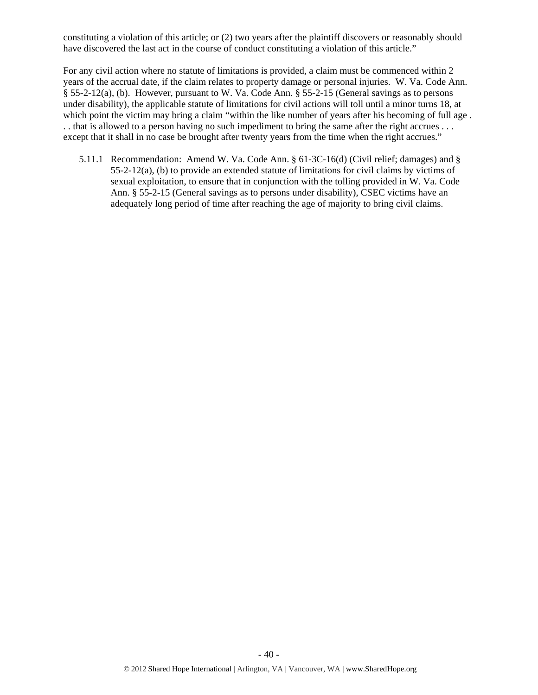constituting a violation of this article; or (2) two years after the plaintiff discovers or reasonably should have discovered the last act in the course of conduct constituting a violation of this article."

For any civil action where no statute of limitations is provided, a claim must be commenced within 2 years of the accrual date, if the claim relates to property damage or personal injuries. W. Va. Code Ann. § 55-2-12(a), (b). However, pursuant to W. Va. Code Ann. § 55-2-15 (General savings as to persons under disability), the applicable statute of limitations for civil actions will toll until a minor turns 18, at which point the victim may bring a claim "within the like number of years after his becoming of full age. . . that is allowed to a person having no such impediment to bring the same after the right accrues . . . except that it shall in no case be brought after twenty years from the time when the right accrues."

5.11.1 Recommendation: Amend W. Va. Code Ann. § 61-3C-16(d) (Civil relief; damages) and §  $55-2-12(a)$ , (b) to provide an extended statute of limitations for civil claims by victims of sexual exploitation, to ensure that in conjunction with the tolling provided in W. Va. Code Ann. § 55-2-15 (General savings as to persons under disability), CSEC victims have an adequately long period of time after reaching the age of majority to bring civil claims.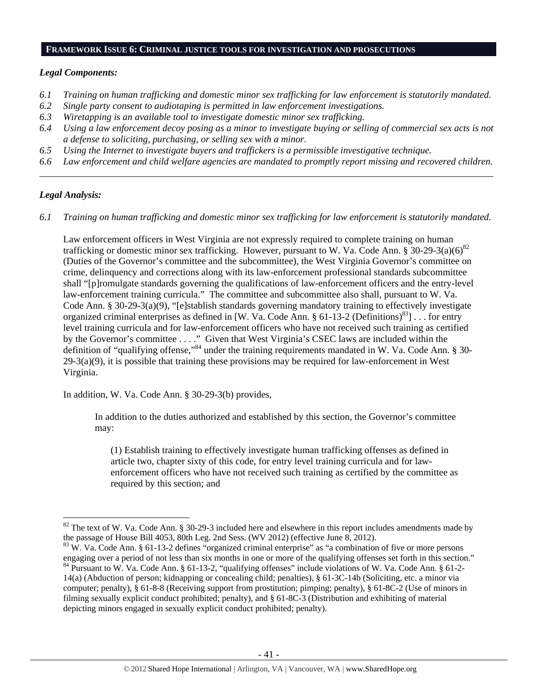#### **FRAMEWORK ISSUE 6: CRIMINAL JUSTICE TOOLS FOR INVESTIGATION AND PROSECUTIONS**

#### *Legal Components:*

- *6.1 Training on human trafficking and domestic minor sex trafficking for law enforcement is statutorily mandated.*
- *6.2 Single party consent to audiotaping is permitted in law enforcement investigations.*
- *6.3 Wiretapping is an available tool to investigate domestic minor sex trafficking.*
- *6.4 Using a law enforcement decoy posing as a minor to investigate buying or selling of commercial sex acts is not a defense to soliciting, purchasing, or selling sex with a minor.*
- *6.5 Using the Internet to investigate buyers and traffickers is a permissible investigative technique.*
- *6.6 Law enforcement and child welfare agencies are mandated to promptly report missing and recovered children. \_\_\_\_\_\_\_\_\_\_\_\_\_\_\_\_\_\_\_\_\_\_\_\_\_\_\_\_\_\_\_\_\_\_\_\_\_\_\_\_\_\_\_\_\_\_\_\_\_\_\_\_\_\_\_\_\_\_\_\_\_\_\_\_\_\_\_\_\_\_\_\_\_\_\_\_\_\_\_\_\_\_\_\_\_\_\_\_\_\_\_\_\_\_*

#### *Legal Analysis:*

*6.1 Training on human trafficking and domestic minor sex trafficking for law enforcement is statutorily mandated.*

Law enforcement officers in West Virginia are not expressly required to complete training on human trafficking or domestic minor sex trafficking. However, pursuant to W. Va. Code Ann. § 30-29-3(a)(6)<sup>82</sup> (Duties of the Governor's committee and the subcommittee), the West Virginia Governor's committee on crime, delinquency and corrections along with its law-enforcement professional standards subcommittee shall "[p]romulgate standards governing the qualifications of law-enforcement officers and the entry-level law-enforcement training curricula." The committee and subcommittee also shall, pursuant to W. Va. Code Ann. § 30-29-3(a)(9), "[e]stablish standards governing mandatory training to effectively investigate organized criminal enterprises as defined in [W. Va. Code Ann. § 61-13-2 (Definitions)<sup>83</sup>]... for entry level training curricula and for law-enforcement officers who have not received such training as certified by the Governor's committee . . . ." Given that West Virginia's CSEC laws are included within the definition of "qualifying offense,"<sup>84</sup> under the training requirements mandated in W. Va. Code Ann. § 30- $29-3(a)(9)$ , it is possible that training these provisions may be required for law-enforcement in West Virginia.

In addition, W. Va. Code Ann. § 30-29-3(b) provides,

In addition to the duties authorized and established by this section, the Governor's committee may:

(1) Establish training to effectively investigate human trafficking offenses as defined in article two, chapter sixty of this code, for entry level training curricula and for lawenforcement officers who have not received such training as certified by the committee as required by this section; and

 $82$  The text of W. Va. Code Ann. § 30-29-3 included here and elsewhere in this report includes amendments made by the passage of House Bill 4053, 80th Leg. 2nd Sess. (WV 2012) (effective June 8, 2012).<br><sup>83</sup> W. Va. Code Ann. § 61-13-2 defines "organized criminal enterprise" as "a combination of five or more persons

engaging over a period of not less than six months in one or more of the qualifying offenses set forth in this section." <sup>84</sup> Pursuant to W. Va. Code Ann. § 61-13-2, "qualifying offenses" include violations of W. Va. Code Ann. § 61-2-14(a) (Abduction of person; kidnapping or concealing child; penalties), § 61-3C-14b (Soliciting, etc. a minor via computer; penalty), § 61-8-8 (Receiving support from prostitution; pimping; penalty), § 61-8C-2 (Use of minors in filming sexually explicit conduct prohibited; penalty), and § 61-8C-3 (Distribution and exhibiting of material depicting minors engaged in sexually explicit conduct prohibited; penalty).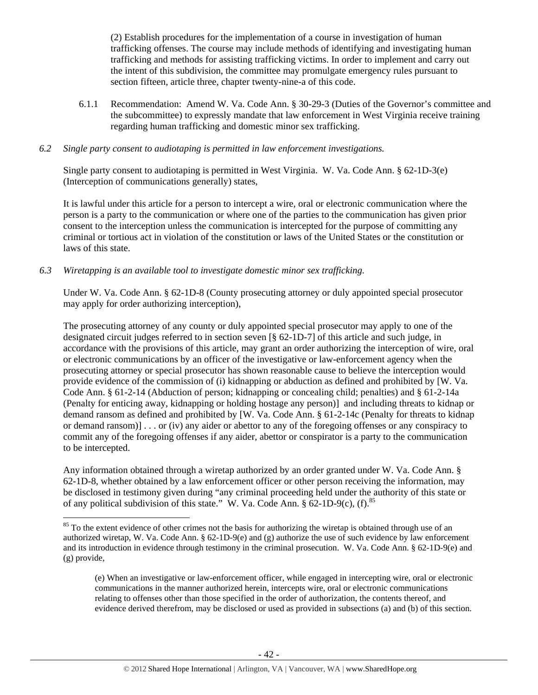(2) Establish procedures for the implementation of a course in investigation of human trafficking offenses. The course may include methods of identifying and investigating human trafficking and methods for assisting trafficking victims. In order to implement and carry out the intent of this subdivision, the committee may promulgate emergency rules pursuant to section fifteen, article three, chapter twenty-nine-a of this code.

6.1.1 Recommendation: Amend W. Va. Code Ann. § 30-29-3 (Duties of the Governor's committee and the subcommittee) to expressly mandate that law enforcement in West Virginia receive training regarding human trafficking and domestic minor sex trafficking.

#### *6.2 Single party consent to audiotaping is permitted in law enforcement investigations.*

Single party consent to audiotaping is permitted in West Virginia. W. Va. Code Ann. § 62-1D-3(e) (Interception of communications generally) states,

It is lawful under this article for a person to intercept a wire, oral or electronic communication where the person is a party to the communication or where one of the parties to the communication has given prior consent to the interception unless the communication is intercepted for the purpose of committing any criminal or tortious act in violation of the constitution or laws of the United States or the constitution or laws of this state.

#### *6.3 Wiretapping is an available tool to investigate domestic minor sex trafficking.*

Under W. Va. Code Ann. § 62-1D-8 (County prosecuting attorney or duly appointed special prosecutor may apply for order authorizing interception),

The prosecuting attorney of any county or duly appointed special prosecutor may apply to one of the designated circuit judges referred to in section seven [§ 62-1D-7] of this article and such judge, in accordance with the provisions of this article, may grant an order authorizing the interception of wire, oral or electronic communications by an officer of the investigative or law-enforcement agency when the prosecuting attorney or special prosecutor has shown reasonable cause to believe the interception would provide evidence of the commission of (i) kidnapping or abduction as defined and prohibited by [W. Va. Code Ann. § 61-2-14 (Abduction of person; kidnapping or concealing child; penalties) and § 61-2-14a (Penalty for enticing away, kidnapping or holding hostage any person)] and including threats to kidnap or demand ransom as defined and prohibited by [W. Va. Code Ann. § 61-2-14c (Penalty for threats to kidnap or demand ransom)] . . . or (iv) any aider or abettor to any of the foregoing offenses or any conspiracy to commit any of the foregoing offenses if any aider, abettor or conspirator is a party to the communication to be intercepted.

Any information obtained through a wiretap authorized by an order granted under W. Va. Code Ann. § 62-1D-8, whether obtained by a law enforcement officer or other person receiving the information, may be disclosed in testimony given during "any criminal proceeding held under the authority of this state or of any political subdivision of this state." W. Va. Code Ann.  $\S 62$ -1D-9(c), (f).<sup>85</sup>

 $85$  To the extent evidence of other crimes not the basis for authorizing the wiretap is obtained through use of an authorized wiretap, W. Va. Code Ann. § 62-1D-9(e) and (g) authorize the use of such evidence by law enforcement and its introduction in evidence through testimony in the criminal prosecution. W. Va. Code Ann. § 62-1D-9(e) and (g) provide,

<sup>(</sup>e) When an investigative or law-enforcement officer, while engaged in intercepting wire, oral or electronic communications in the manner authorized herein, intercepts wire, oral or electronic communications relating to offenses other than those specified in the order of authorization, the contents thereof, and evidence derived therefrom, may be disclosed or used as provided in subsections (a) and (b) of this section.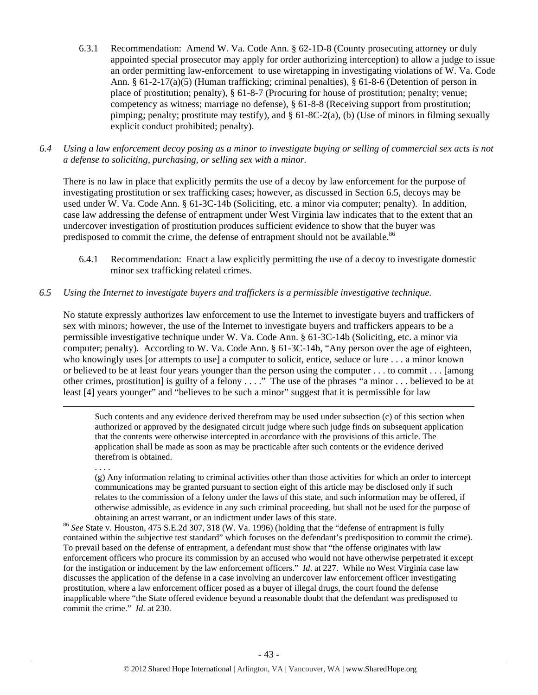- 6.3.1 Recommendation: Amend W. Va. Code Ann. § 62-1D-8 (County prosecuting attorney or duly appointed special prosecutor may apply for order authorizing interception) to allow a judge to issue an order permitting law-enforcement to use wiretapping in investigating violations of W. Va. Code Ann. § 61-2-17(a)(5) (Human trafficking; criminal penalties), § 61-8-6 (Detention of person in place of prostitution; penalty), § 61-8-7 (Procuring for house of prostitution; penalty; venue; competency as witness; marriage no defense), § 61-8-8 (Receiving support from prostitution; pimping; penalty; prostitute may testify), and  $\S 61-8C-2(a)$ , (b) (Use of minors in filming sexually explicit conduct prohibited; penalty).
- *6.4 Using a law enforcement decoy posing as a minor to investigate buying or selling of commercial sex acts is not a defense to soliciting, purchasing, or selling sex with a minor.*

There is no law in place that explicitly permits the use of a decoy by law enforcement for the purpose of investigating prostitution or sex trafficking cases; however, as discussed in Section 6.5, decoys may be used under W. Va. Code Ann. § 61-3C-14b (Soliciting, etc. a minor via computer; penalty). In addition, case law addressing the defense of entrapment under West Virginia law indicates that to the extent that an undercover investigation of prostitution produces sufficient evidence to show that the buyer was predisposed to commit the crime, the defense of entrapment should not be available.<sup>86</sup>

6.4.1 Recommendation: Enact a law explicitly permitting the use of a decoy to investigate domestic minor sex trafficking related crimes.

#### *6.5 Using the Internet to investigate buyers and traffickers is a permissible investigative technique.*

No statute expressly authorizes law enforcement to use the Internet to investigate buyers and traffickers of sex with minors; however, the use of the Internet to investigate buyers and traffickers appears to be a permissible investigative technique under W. Va. Code Ann. § 61-3C-14b (Soliciting, etc. a minor via computer; penalty). According to W. Va. Code Ann. § 61-3C-14b, "Any person over the age of eighteen, who knowingly uses [or attempts to use] a computer to solicit, entice, seduce or lure . . . a minor known or believed to be at least four years younger than the person using the computer . . . to commit . . . [among other crimes, prostitution] is guilty of a felony . . . ." The use of the phrases "a minor . . . believed to be at least [4] years younger" and "believes to be such a minor" suggest that it is permissible for law

<u> 1989 - Johann Stein, marwolaethau a gweledydd a ganrad y ganrad y ganrad y ganrad y ganrad y ganrad y ganrad</u>

Such contents and any evidence derived therefrom may be used under subsection (c) of this section when authorized or approved by the designated circuit judge where such judge finds on subsequent application that the contents were otherwise intercepted in accordance with the provisions of this article. The application shall be made as soon as may be practicable after such contents or the evidence derived therefrom is obtained.

. . . .

(g) Any information relating to criminal activities other than those activities for which an order to intercept communications may be granted pursuant to section eight of this article may be disclosed only if such relates to the commission of a felony under the laws of this state, and such information may be offered, if otherwise admissible, as evidence in any such criminal proceeding, but shall not be used for the purpose of

obtaining an arrest warrant, or an indictment under laws of this state. 86 *See* State v. Houston, 475 S.E.2d 307, 318 (W. Va. 1996) (holding that the "defense of entrapment is fully contained within the subjective test standard" which focuses on the defendant's predisposition to commit the crime). To prevail based on the defense of entrapment, a defendant must show that "the offense originates with law enforcement officers who procure its commission by an accused who would not have otherwise perpetrated it except for the instigation or inducement by the law enforcement officers." *Id*. at 227. While no West Virginia case law discusses the application of the defense in a case involving an undercover law enforcement officer investigating prostitution, where a law enforcement officer posed as a buyer of illegal drugs, the court found the defense inapplicable where "the State offered evidence beyond a reasonable doubt that the defendant was predisposed to commit the crime." *Id*. at 230.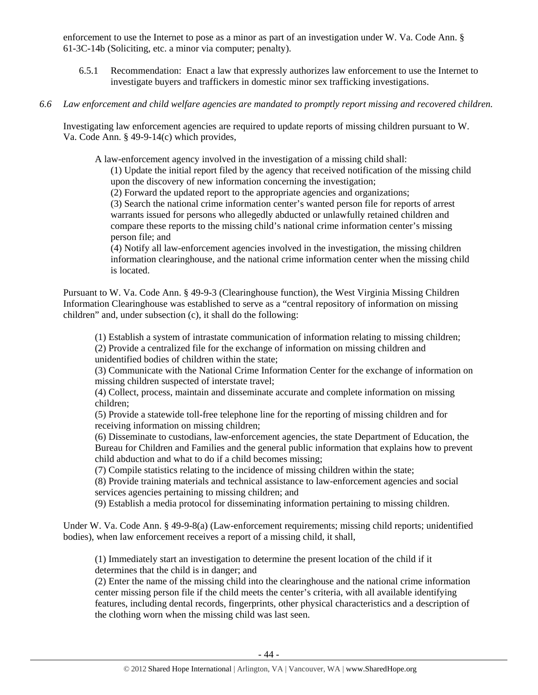enforcement to use the Internet to pose as a minor as part of an investigation under W. Va. Code Ann. § 61-3C-14b (Soliciting, etc. a minor via computer; penalty).

- 6.5.1 Recommendation: Enact a law that expressly authorizes law enforcement to use the Internet to investigate buyers and traffickers in domestic minor sex trafficking investigations.
- *6.6 Law enforcement and child welfare agencies are mandated to promptly report missing and recovered children.*

Investigating law enforcement agencies are required to update reports of missing children pursuant to W. Va. Code Ann. § 49-9-14(c) which provides,

A law-enforcement agency involved in the investigation of a missing child shall:

(1) Update the initial report filed by the agency that received notification of the missing child upon the discovery of new information concerning the investigation;

(2) Forward the updated report to the appropriate agencies and organizations;

(3) Search the national crime information center's wanted person file for reports of arrest warrants issued for persons who allegedly abducted or unlawfully retained children and compare these reports to the missing child's national crime information center's missing person file; and

(4) Notify all law-enforcement agencies involved in the investigation, the missing children information clearinghouse, and the national crime information center when the missing child is located.

Pursuant to W. Va. Code Ann. § 49-9-3 (Clearinghouse function), the West Virginia Missing Children Information Clearinghouse was established to serve as a "central repository of information on missing children" and, under subsection (c), it shall do the following:

(1) Establish a system of intrastate communication of information relating to missing children; (2) Provide a centralized file for the exchange of information on missing children and unidentified bodies of children within the state;

(3) Communicate with the National Crime Information Center for the exchange of information on missing children suspected of interstate travel;

(4) Collect, process, maintain and disseminate accurate and complete information on missing children;

(5) Provide a statewide toll-free telephone line for the reporting of missing children and for receiving information on missing children;

(6) Disseminate to custodians, law-enforcement agencies, the state Department of Education, the Bureau for Children and Families and the general public information that explains how to prevent child abduction and what to do if a child becomes missing;

(7) Compile statistics relating to the incidence of missing children within the state;

(8) Provide training materials and technical assistance to law-enforcement agencies and social services agencies pertaining to missing children; and

(9) Establish a media protocol for disseminating information pertaining to missing children.

Under W. Va. Code Ann. § 49-9-8(a) (Law-enforcement requirements; missing child reports; unidentified bodies), when law enforcement receives a report of a missing child, it shall,

(1) Immediately start an investigation to determine the present location of the child if it determines that the child is in danger; and

(2) Enter the name of the missing child into the clearinghouse and the national crime information center missing person file if the child meets the center's criteria, with all available identifying features, including dental records, fingerprints, other physical characteristics and a description of the clothing worn when the missing child was last seen.